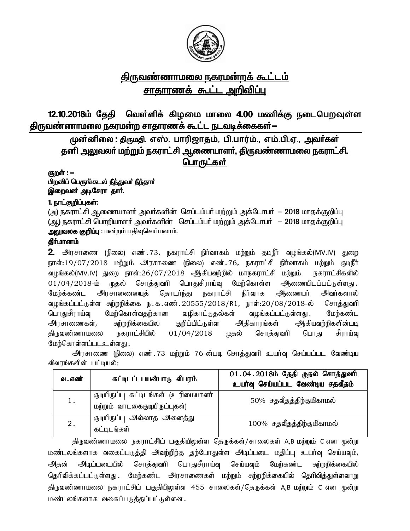

# <u>திருவண்ணாமலை நகரமன்றக் கூட்டம்</u> <u>சாதாரணக் கூட்ட அறிவிப்ப</u>

12.10.2018ம் தேதி வெள்ளிக் கிழமை மாலை 4.00 மணிக்கு நடைபெறவுள்ள திருவண்ணாமலை நகரமன்ற சாதாரணக் கூட்ட நடவடிக்கைகள்—

முன்னிலை : திருமதி. எஸ். பாரிஜாதம், பி.பார்ம்., எம்.பி.ஏ., அவர்கள் தனி அலுவலா் மற்றும் நகராட்சி ஆணையாளா், திருவண்ணாமலை நகராட்சி. பொருட்கள்

குறள் : **–** 

பிறவிப் பெருங்கடல் நீந்துவர் நீந்தார் இறைவன் அடிசேரா தார்.

#### 1. நாட்குறிப்புகள்:

(அ) நகராட்சி ஆணையாளர் அவர்களின் செப்டம்பர் மற்றும் அக்டோபர் – 2018 மாகக்குறிப்பு (ஆ) நகராட்சி பொறியாளர் அவர்களின் செப்டம்பர் மற்றும் அக்டோபர் — 2018 மாகக்குறிப்பு அலுவலக குறிப்பு : மன்றம் பதிவுசெய்யலாம்.

# தீா்மானம்

2. அரசாணை (நிலை) எண்.73, நகராட்சி நிர்வாகம் மற்றும் குடிநீர் வழங்கல்(MV.IV) துறை நாள்:19/07/2018 மற்றும் அரசாணை (நிலை) எண்.76, நகராட்சி நிர்வாகம் மற்றும் குடிநீர் வழங்கல்(MV.IV) துறை நாள்:26/07/2018 ஆகியவற்றில் மாநகராட்சி மற்றும் நகராட்சிகளில் 01/04/2018-ம் முதல் சொத்துவரி பொதுசீராய்வு மேற்கொள்ள ஆணையிடப்பட்டுள்ளது. மேற்க்கண்ட அரசாணையைத் தொடர்ந்து நகராட்சி நிர்வாக அணையர் அவர்களால் வழங்கப்பட்டுள்ள சுற்றறிக்கை ந $\cdot$ க $\cdot$ எண் $\cdot$ .20555/2018/R1, நாள்:20/08/2018-ல் சொத்துவரி பொதுசீராய்வு மேற்கொள்வதற்கான வழிகாட்டுதல்கள் வழங்கப்பட்டுள்ளது .மேற்கண்ட அரசாணைகள், சுற்றறிக்கையில குறிப்பிட்டுள்ள அதிகாரங்கள் ஆகியவற்றிகளின்படி திருவண்ணாமலை நகராட்சியில் 01/04/2018 முதல் சொத்துவரி பொது சீராய்வு மேற்கொள்ளப்படஉள்ளது .

அரசாணை (நிலை) எண். 73 மற்றும் 76-ன்படி சொத்துவரி உயர்வு செய்யப்பட வேண்டிய விவரங்களின் பட்டியல்:

| வ . எண் | கட்டிடப் பயன்பாடு விபரம்                                              | 01.04.2018ம் தேதி முதல் சொத்துவரி<br>உயர்வு செய்யப்பட வேண்டிய சதவீதம் |
|---------|-----------------------------------------------------------------------|-----------------------------------------------------------------------|
| 1.      | குடியிருப்பு கட்டிடங்கள் (உரிமையாளர்<br>மற்றும் வாடகைகுடியிருப்புகள்) | 50% சதவீதத்திற்குமிகாமல்                                              |
| 2.      | குடியிருப்பு அல்லாத அனைத்து<br>கட்டிடங்கள்                            | 100% சதவீதத்திற்குமிகாமல்                                             |

திருவண்ணாமலை நகராட்சிப் பகுதியிலுள்ள தெருக்கள்/சாலைகள் A,B மற்றும் C என முன்று மண்டலங்களாக வகைப்படுத்தி அவற்றிற்கு தற்போதுள்ள அடிப்படை மதிப்பு உயர்வு செய்யவும், அதன் அடிப்படையில் சொத்துவரி பொதுசீராய்வு செய்யவும் மேற்கண்ட சுற்றறிக்கையில் தெரிவிக்கப்பட்டுள்ளது . மேற்கண்ட அரசாணைகள் மற்றும் சுற்றறிக்கையில் தெரிவித்துள்ளவாறு திருவண்ணாமலை நகராட்சிப் பகுதியிலுள்ள 455 சாலைகள்/தெருக்கள் A,B மற்றும் C என முன்று மண்டலங்களாக வகைப்படுத்தப்பட்டுள்ளன .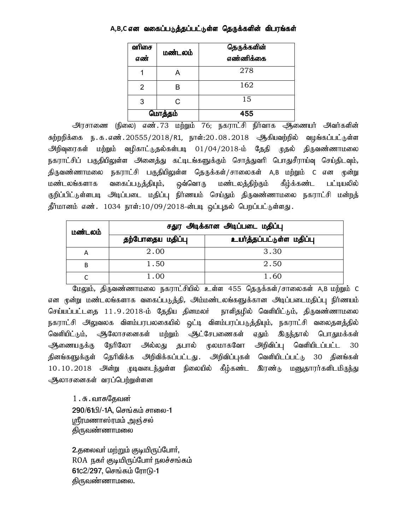#### A,B,C என வகைப்படுத்தப்பட்டுள்ள தெருக்களின் விபரங்கள்

| வரிசை<br>எண் | மண்டலம் | தெருக்களின்<br>எண்ணிக்கை |
|--------------|---------|--------------------------|
|              |         | 278                      |
| 2            | B       | 162                      |
| 3            | r.      | 15                       |
|              | மொத்தம் | 455                      |

<u>அ</u>ரசாணை (நிலை) எண்.73 மற்றும் 76; நகராட்சி நிர்வாக அணையர் அவர்களின் சுற்றறிக்கை ந.க.எண்.20555/2018/R1, நாள்:20.08.2018 ஆகியவற்றில் வழங்கப்பட்டுள்ள அிறிவுரைகள் மற்றும் வழிகாட்டுதல்கள்படி  $01/04/2018$ -ம் தேதி முதல் திருவண்ணாமலை நகராட்சிப் பகுதியிலுள்ள அனைத்து கட்டிடங்களுக்கும் சொத்துவரி பொதுசீராய்வு செய்திடவும், திருவண்ணாமலை நகராட்சி பகுதியிலுள்ள தெருக்கள்/சாலைகள் A,B மற்றும் C என முன்று மண்டலங்களாக வகைப்படுத்தியும், ஒவ்வொரு மண்டலத்திற்கும் கீழ்க்கண்ட பட்டியலில் குறிப்பிட்டுள்ளபடி அடிப்படை மதிப்பு நிர்ணயம் செய்தும் திருவண்ணாமலை நகராட்சி மன்றத் தீர்மானம் எண். 1034 நாள்:10/09/2018-ன்படி ஒப்புதல் பெறப்பட்டுள்ளது.

| மண்டலம் |                  | சதுர அடிக்கான அடிப்படை மதிப்பு |  |
|---------|------------------|--------------------------------|--|
|         | தற்போதைய மதிப்பு | உயர்த்தப்பட்டுள்ள மதிப்பு      |  |
| А       | 2.00             | 3.30                           |  |
| В       | 1.50             | 2.50                           |  |
|         | 1.00             | 1.60                           |  |

மேலும், திருவண்ணாமலை நகராட்சியில் உள்ள 455 தெருக்கள்/சாலைகள் A,B மற்றும் C என மூன்று மண்டலங்களாக வகைப்படுத்தி, அம்மண்டலங்களுக்கான அடிப்படைமதிப்பு நிர்ணயம் செய்யப்பட்டதை 11.9.2018-ம் தேதிய தினமலர் நாளிதழில் வெளியிட்டும், திருவண்ணாமலை நகராட்சி அலுவலக விளம்பரபலகையில் ஒட்டி விளம்பரப்படுத்தியும், நகராட்சி வலைதளத்தில் வெளியிட்டும், அலோசனைகள் மற்றும் ஆட்சேபணைகள் எதும் இருந்தால் பொதுமக்கள் <u>ஆ</u>ணையருக்கு நேரிலோ அல்லது தபால் முலமாகவோ அறிவிப்பு வெளியிடப்பட்ட 30 தினங்களுக்குள் தெரிவிக்க அறிவிக்கப்பட்டது. அறிவிப்புகள் வெளியிடப்பட்டு 30 தினங்கள் 10.10.2018 அன்று முடிவடைந்துள்ள நிலையில் கீழ்கண்ட இரண்டு மனுதாரர்களிடமிருந்து ஆலாசனைகள் வரப்பெற்றுள்ளன

 $1.\sigma$ . வாசுதேவன் 290/61பி/-1A, செங்கம் சாலை-1 ஸ்ரீரமணாஸ்ரமம் அஞ்சல் கிருவண்ணாமலை

2.தலைவா் மற்றும் குடியிருப்போா், ROA நகர் குடியிருப்போர் நலச்சங்கம்  $61c2/297$ , செங்கம் ரோடு-1 கிருவண்ணாமல<u>ை</u>.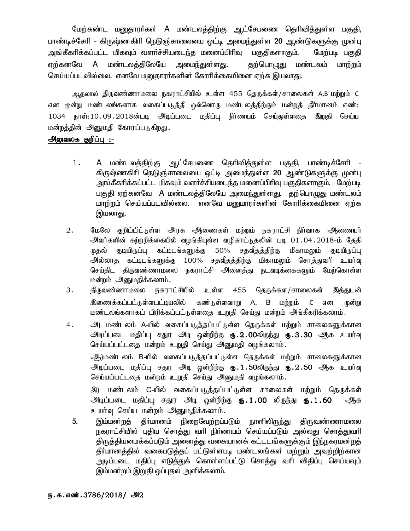மேற்கண்ட மனுதாரா்கள் A மண்டலத்திற்கு ஆட்சேபணை தொிவித்துள்ள பகுதி, பாண்டிச்சேரி - கிருஷ்ணகிரி நெடுஞ்சாலையை ஒட்டி அமைந்துள்ள 20 ஆண்டுகளுக்கு முன்பு அங்கீகரிக்கப்பட்ட மிகவும் வளர்ச்சியடைந்த மனைப்பிரிவு பகுதிகளாகும். மேற்படி பகுதி ஏற்கனவே A மண்டலக்கிலேயே அமைந்துள்ளது. <u>குற்பொழுது மண்டலம்</u> மாற்றம் செய்யப்படவில்லை. எனவே மனுதாரா்களின் கோரிக்கையினை ஏற்க இயலாது.

ஆதலால் திருவண்ணாமலை நகராட்சியில் உள்ள 455 தெருக்கள்/சாலைகள் A,B மற்றும் C என முன்று மண்டலங்களாக வகைப்படுத்தி ஒவ்வொரு மண்டலத்திற்கும் மன்றத் தீர்மானம் எண்: 1034 நாள்:10.09.2018ன்படி அடிப்படை மதிப்பு நிர்ணயம் செய்துள்ளதை இறுதி செய்ய மன்றத்தின் அனுமதி கோரப்படுகிறது.

#### <u> அலுவலக குறிப்பு :-</u>

- $1$ . A மண்டலத்திற்கு ஆட்சேபணை தெரிவித்துள்ள பகுதி, பாண்டிச்சேரி கிருஷ்ணகிரி நெடுஞ்சாலையை ஒட்டி அமைந்துள்ள 20 ஆண்டுகளுக்கு முன்பு அங்கீகரிக்கப்பட்ட மிகவும் வளர்ச்சியடைந்த மனைப்பிரிவு பகுதிகளாகும். மேற்படி பகுதி ஏற்கனவே A மண்டலத்திலேயே அமைந்துள்ளது. தற்பொழுது மண்டலம் மாற்றம் செய்யப்படவில்லை. எனவே மறுமாரர்களின் கோரிக்கையினை ஏற்க இயலாது.
- $2.$ மேலே குறிப்பிட்டுள்ள அரசு ஆணைகள் மற்றும் நகராட்சி நிர்வாக ஆணையர் அவர்களின் சுற்றறிக்கையில் வழங்கியுள்ள வழிகாட்டுதலின் படி 01.04.2018-ம் தேதி முதல் குடியிருப்பு கட்டிடங்களுக்கு 50% சதவீதத்திற்கு மிகாமலும் குடியிருப்பு அல்லாத கட்டிடங்களுக்கு 100% சதவீதத்திற்கு மிகாமலும் சொத்துவரி உயர்வு செய்திட திருவண்ணாமலை நகராட்சி அனைத்து நடவடிக்கைகளும் மேற்கொள்ள மன்றம் அனுமதிக்கலாம்.
- $3.$ திருவண்ணாமலை நகராட்சியில் உள்ள 455 தெருக்கள/சாலைகள் இத்துடன் இணைக்கப்பட்டுள்ளபட்டியலில் கண்டுள்ளவாறு A, B மற்றும் C என ிமன்று மண்டலங்களாகப் பிரிக்கப்பட்டுள்ளதை உறுதி செய்து மன்றம் அங்கீகரிக்கலாம்.
- $4.$ அ) மண்டலம் A-யில் வகைப்படுத்தப்பட்டுள்ள தெருக்கள் மற்றும் சாலைகளுக்கான அடிப்படை மதிப்பு சதுர அடி ஒன்றிற்கு **ரு.2.00**லிருந்து **ரு.3.30** ஆக உயர்வு செய்யப்பட்டதை மன்றம் உறுதி செய்து அனுமதி வழங்கலாம். ஆ)மண்டலம் B-யில் வகைப்படுத்தப்பட்டுள்ள தெருக்கள் மற்றும் சாலைகளுக்கான

அடிப்படை மதிப்பு சதுர அடி ஒன்றிற்கு **ரு.1.50**லிருந்து **ரு.2.50** ஆக உயர்வு செய்யப்பட்டதை மன்றம் உறுதி செய்து அனுமதி வழங்கலாம்.

இ) மண்டலம் C-யில் வகைப்படுத்தப்பட்டுள்ள சாலைகள் மற்றும் தெருக்கள் அடிப்படை மதிப்பு சதுர அடி ஒன்றிற்கு **ரு.1.00** லிருந்து **ரு.1.60** ஆக உயர்வு செய்ய மன்றம் அனுமதிக்கலாம்.

5. இம்மன்றத் தீா்மானம் நிறைவேற்றப்படும் நாளிலிருந்து திருவண்ணாமலை நகராட்சியில் புதிய சொத்து வரி நிா்ணயம் செய்யப்படும் அல்லது சொத்துவரி திருத்தியமைக்கப்படும் அனைத்து வகையானக் கட்டடங்களுக்கும் இந்நகரமன்றத் தீா்மானத்தில் வகைபடுத்தப் பட்டுள்ளபடி மண்டலங்கள் மற்றும் அவற்றிற்கான அடிப்படை மதிப்பு எடுத்துக் கொள்ளப்பட்டு சொத்து வரி விதிப்பு செய்யவும் இம்மன்றம் இறுதி ஒப்புதல் அளிக்கலாம்.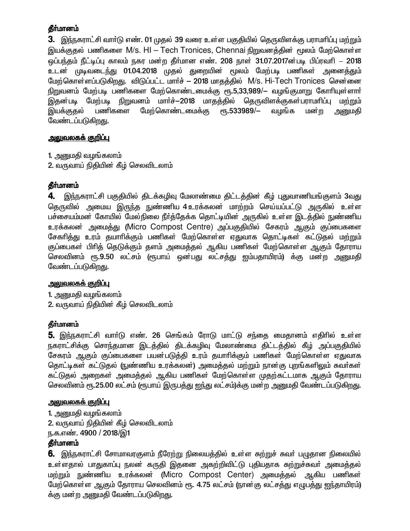3. இந்நகராட்சி வாா்டு எண். 01 முதல் 39 வரை உள்ள பகுதியில் தெருவிளக்கு பராமாிப்பு மற்றும் இயக்குதல் பணிகளை M/s. HI – Tech Tronices, Chennai நிறுவனத்தின் மூலம் மேற்கொள்ள ஒப்பந்தம் நீட்டிப்பு காலம் நகர மன்ற தீா்மான எண். 208 நாள் 31.07.2017ன்படி பிப்ரவாி — 2018 உடன் முடிவடைந்து 01.04.2018 முதல் துறையின் மூலம் மேற்படி பணிகள் அனைத்தும் மேற்கொள்ளப்படுகிறது. விடுப்பட்ட மார்ச் – 2018 மாதத்தில் M/s. Hi-Tech Tronices சென்னை நிறுவனம் மேற்படி பணிகளை மேற்கொண்டமைக்கு ரூ.5,33,989/— வழங்குமாறு கோரியுள்ளார் இதன்படி மேற்படி நிறுவனம் மார்ச்-2018 மாதத்தில் தெருவிளக்குகள்பராமரிப்பு மற்றும் இயக்குகல் பணிகளை மேற்கொண்டமைக்கு ரூ.533989/— வமங்க மன்ற அனுமகி வேண்டப்படுகிறது.

### <u>அலுவலகக் குறிப்பு</u>

1. அனுமதி வழங்கலாம்

2. வருவாய் நிதியின் கீழ் செலவிடலாம்

### தீர்மானம்

4. இந்நகராட்சி பகுதியில் திடக்கழிவு மேலாண்மை திட்டத்தின் கீழ் புதுவாணியங்குளம் 3வது தெருவில் அமைய இருந்த நுண்ணிய 4 உரக்கலன் மாற்றம் செய்யப்பட்டு அருகில் உள்ள பச்சையம்மன் கோயில் மேல்நிலை நீர்த்தேக்க தொட்டியின் அருகில் உள்ள இடத்தில் நுண்ணிய உரக்கலன் அமைத்து (Micro Compost Centre) அப்பகுதியில் சேகரம் ஆகும் குப்பைகளை சேகரித்து உரம் தயாரிக்கும் பணிகள் மேற்கொள்ள ஏதுவாக கொட்டிகள் கட்டுதல் மற்றும் குப்பைகள் பிரித் தெடுக்கும் தளம் அமைத்தல் ஆகிய பணிகள் மேற்கொள்ள ஆகும் தோராய செலவினம் ரூ.9.50 லட்சம் (ரூபாய் ஒன்பது லட்சத்து ஐம்பதாயிரம்) க்கு மன்ற அனுமதி வேண்டப்படுகிறது.

### <u>அலுவலகக் குறிப்பு</u>

1. அனுமதி வழங்கலாம் 2. வருவாய் நிதியின் கீழ் செலவிடலாம்

### தீர்மானம்

5. இந்நகராட்சி வாா்டு எண். 26 செங்கம் ரோடு மாட்டு சந்தை மைதானம் எதிாில் உள்ள நகராட்சிக்கு சொந்தமான இடத்தில் திடக்கழிவு மேலாண்மை திட்டத்தில் கீழ் அப்பகுதியில் சேகரம் ஆகும் குப்பைகளை பயன்படுத்தி உரம் தயாரிக்கும் பணிகள் மேற்கொள்ள ஏதுவாக தொட்டிகள் கட்டுதல் (நுண்ணிய உரக்கலன்) அமைக்கல் மற்றும் நான கு புறங்களிலும் சுவர்கள் கட்டுதல் அறைகள் அமைத்தல் ஆகிய பணிகள் மேற்கொள்ள முதற்கட்டமாக ஆகும் தோராய செலவினம் ரூ.25.00 லட்சம் (ரூபாய் இருபத்து <u>ஐந்</u>து லட்சம்)க்கு மன்ற அனுமதி வேண்டப்படுகிறது.

### <u>அலுவலகக் குறிப்பு</u>

1. அனுமதி வழங்கலாம் 2. வருவாய் நிதியின் கீழ் செலவிடலாம் ந.க.எண். 4900 / 2018/இ1

### **கீர்மானம்**

6. இந்நகராட்சி சோமாவரகுளம் நீரேற்று நிலையத்தில் உள்ள சுற்றுச் சுவர் பழுதான நிலையில் உள்ளதால் பாதுகாப்பு நலன் கருதி இதனை அகற்றிவிட்டு புதியதாக சுற்றுச்சுவா் அமைத்தல் மற்றும் நுண்ணிய உரக்கலன் (Micro Compost Center) அமைத்தல் ஆகிய பணிகள் மேற்கொள்ள ஆகும் தோராய செலவினம் ரூ. 4.75 லட்சம் (நான்கு லட்சத்து எழுபத்து ஐந்தாயிரம்) க்கு மன்ற அனுமதி வேண்டப்படுகிறது.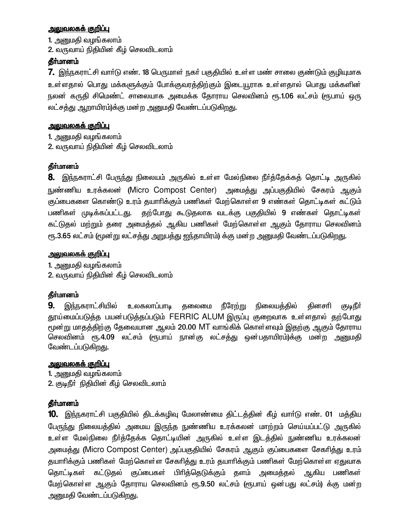### <u>அலுவலகக் குறிப்பு</u>

1. அனுமதி வழங்கலாம்

2. வருவாய் நிதியின் கீழ் செலவிடலாம்

### தீர்மானம்

7. இந்நகராட்சி வார்டு எண். 18 பெருமாள் நகர் பகுதியில் உள்ள மண் சாலை குண்டும் குழியுமாக உள்ளதால் பொது மக்களுக்கும் போக்குவரத்திற்கும் இடையூராக உள்ளதால் பொது மக்களின் நலன் கருதி சிமெண்ட் சாலையாக அமைக்க தோராய செலவினம் ரூ.1.06 லட்சம் (ரூபாய் ஒரு லட்சத்து ஆறாயிரம்)க்கு மன்ற அனுமதி வேண்டப்படுகி<u>றத</u>ு.

### <u> அலுவலகக் குறிப்பு</u>

1. அனுமதி வழங்கலாம் 2. வருவாய் நிதியின் கீழ் செலவிடலாம்

### தீர்மானம்

**8.** இந்நகராட்சி பேருந்து நிலையம் அருகில் உள்ள மேல்நிலை நீா்த்தேக்கத் தொட்டி அருகில் நுண்ணிய உரக்கலன் (Micro Compost Center) அமைத்து அப்பகுதியில் சேகரம் ஆகும் குப்பைகளை கொண்டு உரம் தயாரிக்கும் பணிகள் மேற்கொள்ள 9 எண்கள் தொட்டிகள் கட்டும் பணிகள் முடிக்கப்பட்டது. தற்போது கூடுதலாக வடக்கு பகுதியில் 9 எண்கள் தொட்டிகள் கட்டுதல் மற்றும் தரை அமைத்தல் ஆகிய பணிகள் மேற்கொள்ள ஆகும் தோராய செலவினம் ரூ.3.65 லட்சம் (மூன்று லட்சத்து அறுபத்து ஐந்தாயிரம்) க்கு மன்ற அனுமதி வேண்டப்படுகிறது.

### <u>அலுவலகக் குறிப்பு</u>

1. அனுமதி வழங்கலாம் 2. வருவாய் நிதியின் கீழ் செலவிடலாம்

### தீர்மானம்

**9.** இந்நகராட்சியில் உலகலாப்பாடி தலைமை நீரேற்று நிலையத்தில் கினசரி குடிநீர் தூய்மைப்படுத்த பயன்படுத்தப்படும் FERRIC ALUM இருப்பு குறைவாக உள்ளதால் தற்போது மூன்று மாதத்திற்கு தேவையான ஆலம் 20.00 MT வாங்கிக் கொள்ளவும் இதற்கு ஆகும் தோராய செலவினம் ரூ.4.09 லட்சம் (ரூபாய் நான்கு லட்சத்து ஒன்பதாயிரம்)க்கு மன்ற அனுமதி வேண்டப்படுகிறது.

### <u>அலுவலகக் குறிப்பு</u>

1. அனுமதி வழங்கலாம் 2. குடிநீர் நிதியின் கீழ் செலவிடலாம்

### தீர்மானம்

10. இந்நகராட்சி பகுதியில் திடக்கழிவு மேலாண்மை திட்டத்தின் கீழ் வார்டு எண். 01 மத்திய பேருந்து நிலையத்தில் அமைய இருந்த நுண்ணிய உரக்கலன் மாற்றம் செய்யப்பட்டு அருகில் உள்ள மேல்நிலை நீா்த்தேக்க தொட்டியின் அருகில் உள்ள இடத்தில் நுண்ணிய உரக்கலன் அமைத்து (Micro Compost Center) அப்பகுதியில் சேகரம் ஆகும் குப்பைகளை சேகரித்து உரம் தயாரிக்கும் பணிகள் மேற்கொள்ள சேகரித்து உரம் தயாரிக்கும் பணிகள் மேற்கொள்ள ஏதுவாக தொட்டிகள் கட்டுதல் குப்பைகள் பிரித்தெடுக்கும் தளம் அமைத்தல் ஆகிய பணிகள் மேற்கொள்ள ஆகும் தோராய செலவினம் ரூ.9.50 லட்சம் (ரூபாய் ஒன்பது லட்சம்) க்கு மன்ற அனுமதி வேண்டப்படுகிறது.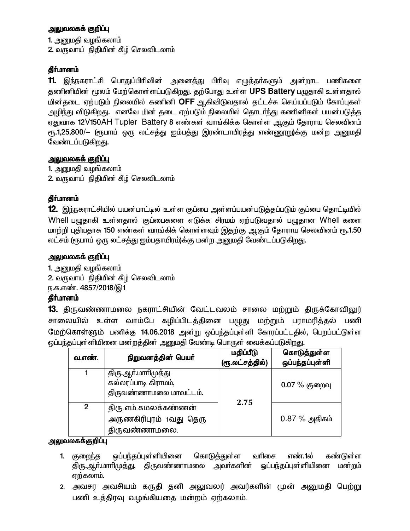### <u>அலுவலகக் குறிப்பு</u>

1. அனுமதி வழங்கலாம்

2. வருவாய் நிதியின் கீழ் செலவிடலாம்

### தீா்மானம்

11. இந்நகராட்சி பொதுப்பிரிவின் அனைத்து பிரிவு எழுத்தா்களும் அன்றாட பணிகளை தணினியின் மூலம் மேற்கொள்ளப்படுகிறது. தற்போது உள்ள UPS Battery பழுதாகி உள்ளதால் <u>மின்தடை ஏற்படும் நிலையில் கணினி OFF ஆகிவிடுவதால் தட்டச்சு செய்யப்படும் கோப்புகள்</u> அழிந்து விடுகிறது. எனவே மின் தடை ஏற்படும் நிலையில் தொடர்ந்து கணினிகள் பயன்படுத்த எதுவாக 12V150AH Tupler Battery 8 எண்கள் வாங்கிக்க கொள்ள ஆகும் கோராய செலவினம் ரூ.1,25,800/— (ரூபாய் ஒரு லட்சத்து ஐம்பத்து இரண்டாயிரத்து எண்ணூறு)க்கு மன்ற அனுமதி வேண்டப்படுகி<u>றது</u>.

### <u>அலுவலகக் குறிப்பு</u>

1. அனுமதி வழங்கலாம் 2. வருவாய் நிதியின் கீழ் செலவிடலாம்

### தீா்மானம்

 $12$ . இந்நகராட்சியில் பயன்பாட்டில் உள்ள குப்பை அள்ளப்பயன்படுத்தப்படும் குப்பை தொட்டியில் Whell பழுதாகி உள்ளதால் குப்பைகளை எடுக்க சிரமம் ஏற்படுவதால் பழுதான Whell களை மாற்றி புதியதாக 150 எண்கள் வாங்கிக் கொள்ளவும் இதற்கு ஆகும் தோராய செலவினம் ரூ.1.50 லட்சம் (ரூபாய் ஒரு லட்சத்து ஐம்பதாயிரம்)க்கு மன்ற அனுமதி வேண்டப்படுகி<u>றது</u>.

### <u>அலுவலகக் குறிப்பு</u>

1. அனுமதி வழங்கலாம்

2. வருவாய் நிதியின் கீழ் செலவிடலாம்

ந.க.எண். 4857/2018/இ1

### தீா்மானம்

13. திருவண்ணாமலை நகராட்சியின் வேட்டவலம் சாலை மற்றும் திருக்கோவிலுர் சாலையில் உள்ள வாம்பே கழிப்பிடத்தினை பழுது மற்றும் பராமரித்தல் பணி மேற்கொள்ளும் பணிக்கு 14.06.2018 அன்று ஒப்பந்தப்புள்ளி கோரப்பட்டதில், பெறப்பட்டுள்ள <u>ஒ</u>ப்பந்தப்புள்ளியினை மன்றத்தின் அனுமதி வேண்டி பொருள் வைக்கப்படுகிறது.

| வ.எண்.       | நிறுவனத்தின் பெயர்                                                    | மதிப்பீடு<br>(ரூ.லட்சத்தில்) | கொடுத்துள்ள<br>ஒப்பந்தப்புள்ளி |
|--------------|-----------------------------------------------------------------------|------------------------------|--------------------------------|
|              | திரு.ஆா்.மாாிமுத்து<br>கல்லரப்பாடி கிராமம்,<br>திருவண்ணாமலை மாவட்டம். | 2.75                         | $0.07\%$ குறைவு                |
| $\mathbf{2}$ | திரு.எம்.கமலக்கண்ணன்<br>அருணகிரிபுரம் 1வது தெரு<br>திருவண்ணாமலை.      |                              | $0.87\%$ அதிகம்                |

#### <u>அலு</u>வலகக்குறிப்பு

- 1. குறைந்த ஒப்பந்தப்புள்ளியினை கொடுத்துள்ள வரிசை எண்.1ல் கண்டுள்ள திரு.ஆர்.மாரிமுத்து, திருவண்ணாமலை அவர்களின் ஒப்பந்தப்புள்ளியினை மன்றம் ஏற்கலாம்.
- 2. அவசர அவசியம் கருதி தனி அலுவலர் அவர்களின் முன் அனுமதி பெற்று பணி உத்திரவு வழங்கியதை மன்றம் ஏற்கலாம்.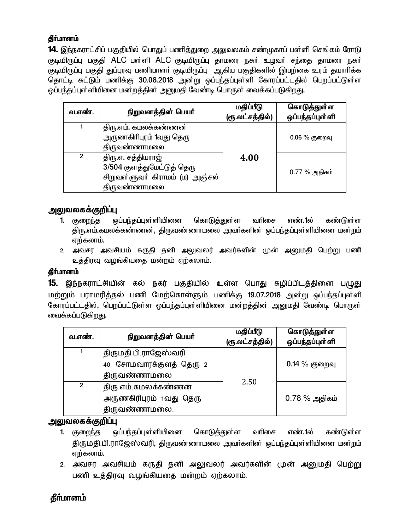**14.** இந்நகராட்சிப் பகுதியில் பொதுப் பணித்துறை அலுவலகம் சண்முகாப் பள்ளி செங்கம் ரோடு குடியிருப்பு பகுதி ALC பள்ளி ALC குடியிருப்பு தாமரை நகர் உழவர் சந்தை தாமரை நகர் குடியிருப்பு பகுதி துப்புரவு பணியாளா் குடியிருப்பு ஆகிய பகுதிகளில் இயற்கை உரம் தயாாிக்க தொட்டி கட்டும் பணிக்கு 30.08.2018 அன்று ஒப்பந்தப்புள்ளி கோரப்பட்டதில் பெறப்பட்டுள்ள ஒப்பந்தப்புள்ளியினை மன்றத்தின் அனுமதி வேண்டி பொருள் வைக்கப்படுகிறது.

| வ.எண். | நிறுவனத்தின் பெயர்                                                                                         | மதிப்பீடு<br>(ரூ.லட்சத்தில்) | கொடுத்துள்ள<br>ஒப்பந்தப்புள்ளி |
|--------|------------------------------------------------------------------------------------------------------------|------------------------------|--------------------------------|
|        | திரு.எம். கமலக்கண்ணன்<br>அருணகிரிபுரம் 1வது தெரு<br>திருவண்ணாமலை                                           |                              | $0.06\%$ குறைவு                |
|        | திரு.எ. சத்தியராஜ்<br>3/504 குளத்துமேட்டுத் தெரு<br>சிறுவள்ளுவா் கிராமம் (ம) அஞ்சல்<br><u>திருவண்ணாமலை</u> | 4.00                         | $0.77\%$ அதிகம்                |

### அலுவலகக்குறிப்பு

- ஒப்பந்தப்புள்ளியினை கொடுத்துள்ள வரிசை எண்.1ல் 1. குறைந்த கண்டுள்ள திரு.எம்.கமலக்கண்ணன், திருவண்ணாமலை அவர்களின் ஒப்பந்தப்புள்ளியினை மன்றம் ஏற்கலாம்.
- 2. அவசர அவசியம் கருதி தனி அலுவலர் அவர்களின் முன் அனுமதி பெற்று பணி உத்திரவு வழங்கியதை மன்றம் ஏற்கலாம்.

### தீர்மானம்

15. இந்நகராட்சியின் கல் நகர் பகுதியில் உள்ள பொது கழிப்பிடத்தினை பழுது மற்றும் பராமரித்தல் பணி மேற்கொள்ளும் பணிக்கு 19.07.2018 அன்று ஒப்பந்தப்புள்ளி கோரப்பட்டதில், பெறப்பட்டுள்ள ஒப்பந்தப்புள்ளியினை மன்றத்தின் அனுமதி வேண்டி பொருள் வைக்கப்படுகிறது.

| வ.எண்.         | நிறுவனத்தின் பெயர்                                                               | மதிப்பீடு<br>(ரூ.லட்சத்தில்) | கொடுத்துள்ள<br>ஒப்பந்தப்புள்ளி |
|----------------|----------------------------------------------------------------------------------|------------------------------|--------------------------------|
|                | திருமதி.பி.ராஜேஸ்வரி<br>40, சோமவாரக்குளத் தெரு 2                                 |                              | $0.14\%$ குறைவு                |
| $\overline{2}$ | திருவண்ணாமலை<br>திரு.எம்.கமலக்கண்ணன்<br>அருணகிரிபுரம் 1வது தெரு<br>திருவண்ணாமலை. | 2.50                         | $0.78\%$ அதிகம்                |

### அலுவலகக்குறிப்பு

- வரிசை 1. குறைந்த ஒப்பந்தப்புள்ளியினை கொடுத்துள்ள எண்.1ல் கண்டுள்ள திருமதி.பி.ராஜேஸ்வரி, திருவண்ணாமலை அவர்களின் ஒப்பந்தப்புள்ளியினை மன்றம் ஏற்கலாம்.
- 2. அவசர அவசியம் கருதி தனி அலுவலர் அவர்களின் முன் அனுமதி பெற்று பணி உத்திரவு வழங்கியதை மன்றம் ஏற்கலாம்.

# தீா்மானம்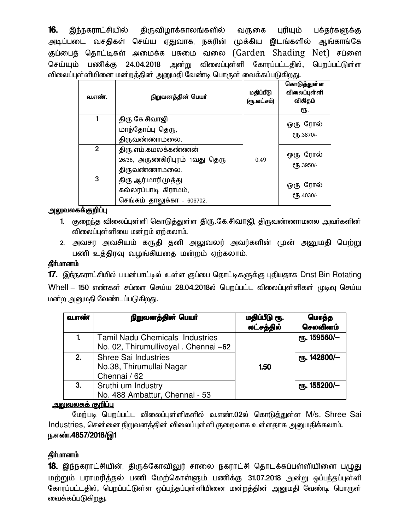16. இந்நகராட்சியில் திருவிழாக்காலங்களில் வருகை புரியும் பக்தர்களுக்கு அடிப்படை வசதிகள் செய்ய ஏதுவாக, நகரின் முக்கிய இடங்களில் ஆங்காங்கே குப்பைத் தொட்டிகள் அமைக்க பசுமை வலை (Garden Shading Net) சப்ளை செய்யும் பணிக்கு 24.04.2018 அன்று விலைப்புள்ளி கோரப்பட்டதில், பெறப்பட்டுள்ள விலைப்புள்ளியினை மன்றத்தின் அனுமதி வேண்டி பொருள் வைக்கப்படுகிறது.

| வ.எண்.         | நிறுவனத்தின் பெயர்                                                         | மதிப்பீடு<br>(ரூ.லட்சம்) | கொடுத்துள்ள<br>விலைப்புள் ளி<br>விகிதம்<br>ரூ. |
|----------------|----------------------------------------------------------------------------|--------------------------|------------------------------------------------|
| 1              | திரு கே.சிவாஜி<br>மாந்தோப்பு தெரு,<br>திருவண்ணாமலை.                        |                          | ஒரு ரோல்<br>СҦ.3870/-                          |
| $\overline{2}$ | திரு எம் கமலக்கண்ணன்<br>26/38, அருணகிரிபுரம் 1வது தெரு<br>திருவண்ணாமலை.    | 0.49                     | ஒரு ரோல்<br>СҦ.3950/-                          |
| 3              | திரு ஆர் மாரிமுத்து,<br>கல்லரப்பாடி கிராமம்,<br>செங்கம் தாலுக்கா - 606702. |                          | ஒரு ரோல்<br>СҦ.4030/-                          |

### அலுவலகக்குறிப்பு

- 1. குறைந்த விலைப்புள்ளி கொடுத்துள்ள திரு.கே.சிவாஜி, திருவண்ணாமலை அவர்களின் விலைப்புள்ளியை மன்றம் ஏற்கலாம்.
- 2. அவசர அவசியம் கருதி தனி அலுவலர் அவர்களின் முன் அனுமதி பெற்று பணி உத்திரவு வழங்கியதை மன்றம் ஏற்கலாம்.

### தீர்மானம்

17. இந்நகராட்சியில் பயன்பாட்டில் உள்ள குப்பை தொட்டிகளுக்கு புதியதாக Dnst Bin Rotating Whell – 150 எண்கள் சப்ளை செய்ய 28.04.2018ல் பெறப்பட்ட விலைப்புள்ளிகள் முடிவு செய்ய மன்ற அனுமதி வேண்டப்படுகிறது.

| வ.எண் | நிறுவனத்தின் பெயர்                                                              | மதிப்பீடு ரூ.<br>லட்சத்தில் | மொத்த<br>செலவினம் |
|-------|---------------------------------------------------------------------------------|-----------------------------|-------------------|
|       | <b>Tamil Nadu Chemicals Industries</b><br>No. 02, Thirumullivoyal . Chennai -62 |                             | ரு. 159560/-      |
| 2.    | Shree Sai Industries<br>No.38, Thirumullai Nagar<br>Chennai / 62                | 1.50                        | ரூ. 142800/-      |
| 3.    | Sruthi um Industry<br>No. 488 Ambattur, Chennai - 53                            |                             | ரு. 155200/-      |

#### <u>அலுவலகக் குறிப்பு</u>

மேற்படி பெறப்பட்ட விலைப்புள்ளிகளில் வ.எண்.02ல் கொடுத்துள்ள M/s. Shree Sai Industries, சென்னை நிறுவனத்தின் விலைப்புள்ளி குறைவாக உள்ளதாக அனுமதிக்கலாம். ந.எண்.4857/2018/இ1

# தீர்மானம்

18. இந்நகராட்சியின், திருக்கோவிலுர் சாலை நகராட்சி தொடக்கப்பள்ளியினை பழுது மற்றும் பராமரித்தல் பணி மேற்கொள்ளும் பணிக்கு 31.07.2018 அன்று ஒப்பந்தப்புள்ளி கோரப்பட்டதில், பெறப்பட்டுள்ள ஒப்பந்தப்புள்ளியினை மன்றத்தின் அனுமதி வேண்டி பொருள் வைக்கப்படுகிறது.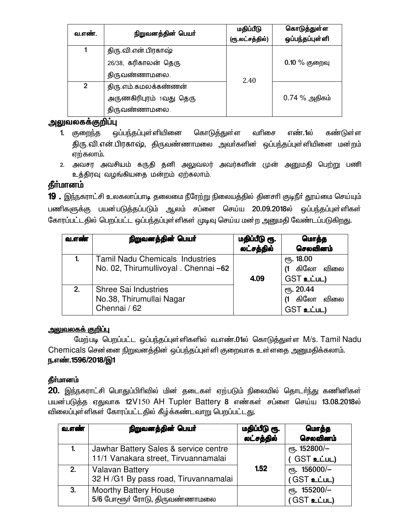| வ.எண்.         | நிறுவனத்தின் பெயர்      | மதிப்பீடு<br>(ரூ.லட்சத்தில்) | கொடுத்துள்ள<br>ஒப்பந்தப்புள்ளி |
|----------------|-------------------------|------------------------------|--------------------------------|
|                | திரு.வி.என்.பிரகாஷ்     |                              |                                |
|                | 26/38, கரிகாலன் தெரு    |                              | $0.10\%$ குறைவு                |
|                | திருவண்ணாமலை.           | 2.40                         |                                |
| $\overline{2}$ | திரு எம் கமலக்கண்ணன்    |                              |                                |
|                | அருணகிரிபுரம் 1வது தெரு |                              | 0.74 % அதிகம்                  |
|                | திருவண்ணாமலை.           |                              |                                |

### <u>அலுவலகக்குறிப்பு</u>

- 1. குறைந்த ஒப்பந்தப்புள்ளியினை கொடுத்துள்ள வரிசை எண்.1ல் கண்டுள்ள திரு.வி.என்.பிரகாஷ், திருவண்ணாமலை அவர்களின் ஒப்பந்தப்புள்ளியினை மன்றம் ஏற்கலாம்.
- 2. அவசர அவசியம் கருதி தனி அலுவலர் அவர்களின் முன் அனுமதி பெற்று பணி உத்திரவு வழங்கியதை மன்றம் ஏற்கலாம்.

# தீா்மானம்

19. இந்நகராட்சி உலகலாப்பாடி தலைமை நீரேற்று நிலையத்தில் தினசாி குடிநீா் தூய்மை செய்யும் பணிகளுக்கு பயன்படுத்தப்படும் ஆலம் சப்ளை செய்ய 20.09.2018ல் ஒப்பந்தப்புள்ளிகள் கோரப்பட்டதில் பெறப்பட்ட ஒப்பந்தப்புள்ளிகள் முடிவு செய்ய மன்ற அனுமதி வேண்டப்படுகிறது.

| வ.எண் | நிறுவனத்தின் பெயர்                                                              | மதிப்பீடு ரூ.<br>லட்சத்தில் | மொத்த<br>செலவினம்                          |
|-------|---------------------------------------------------------------------------------|-----------------------------|--------------------------------------------|
|       | <b>Tamil Nadu Chemicals Industries</b><br>No. 02, Thirumullivoyal . Chennai -62 | 4.09                        | ரு. 18.00<br>(1 கிலோ விலை<br>GST உட்பட)    |
| 2.    | Shree Sai Industries<br>No.38, Thirumullai Nagar<br>Chennai / 62                |                             | ரு. 20.44<br>(1 கிலோ<br>விலை<br>GST உட்பட) |

### <u>அலுவலகக் குறிப்பு</u>

மேற்படி பெறப்பட்ட ஒப்பந்தப்புள்ளிகளில் வ.எண்.01ல் கொடுத்துள்ள M/s. Tamil Nadu Chemicals சென்னை நிறுவனத்தின் ஒப்பந்தப்புள்ளி குறைவாக உள்ளதை அனுமதிக்கலாம். ந.எண்.1596/2018/இ1

# தீர்மானம்

 $20$ . இந்நகராட்சி பொதுப்பிரிவில் மின் தடைகள் ஏற்படும் நிலையில் தொடர்ந்து கணினிகள் பயன்படுத்த ஏதுவாக 12V150 AH Tupler Battery 8 எண்கள் சப்ளை செய்ய 13.08.2018ல் விலைப்புள்ளிகள் கோரப்பட்டதில் கீழ்க்கண்டவாறு பெறப்பட்டது.

| வ.எண் | நிறுவனத்தின் பெயர்                                                            | மதிப்பீடு ரூ.<br>லட்சத்தில் | மொத்த<br>செலவினம்                                     |
|-------|-------------------------------------------------------------------------------|-----------------------------|-------------------------------------------------------|
|       | Jawhar Battery Sales & service centre<br>11/1 Vanakara street, Tirvuannamalai |                             | <sub>е</sub> п <sub>5</sub> . 152800/-<br>(GST உட்பட) |
| 2.    | <b>Valavan Battery</b><br>32 H /G1 By pass road, Tiruvannamalai               | 1.52                        | $e$ гђ. 156000/-<br>$(GST$ உட்பட)                     |
| 3.    | <b>Moorthy Battery House</b><br>5/6 போளூர் ரோடு, திருவண்ணாமலை                 |                             | $e$ гђ. 155200/-<br>(GST உட்பட)                       |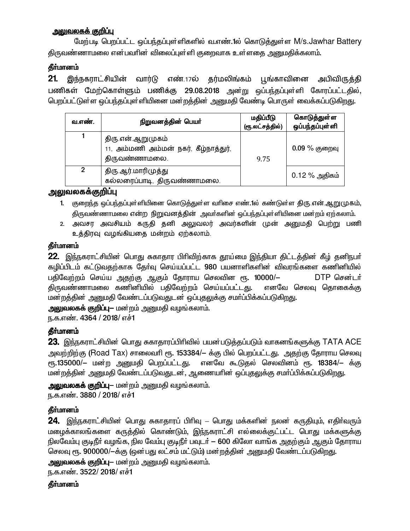### <u>அலுவலகக் குறிப்பு</u>

மேற்படி பெறப்பட்ட ஒப்பந்தப்புள்ளிகளில் வ.எண்.1ல் கொடுத்துள்ள M/s.Jawhar Battery கிருவண்ணாமலை என்பவரின் விலைப்புள்ளி குறைவாக உள்ளதை <u>அனு</u>மதிக்கலாம்.

### **கீர்மானம்**

21. இந்நகராட்சியின் வார்டு எண்.17ல் தர்மலிங்கம் பூங்காவினை அபிவிருத்தி பணிகள் மேற்கொள்ளும் பணிக்கு 29.08.2018 அன்று ஒப்பந்தப்புள்ளி கோரப்பட்டதில், பெறப்பட்டுள்ள ஒப்பந்தப்புள்ளியினை மன்றத்தின் அனுமதி வேண்டி பொருள் வைக்கப்படுகிறது.

| வ.எண்.         | நிறுவனத்தின் பெயர்                                                          | மதிப்பீடு<br>(ரூ.லட்சத்தில்) | கொடுத்துள்ள<br>ஒப்பந்தப்புள்ளி |
|----------------|-----------------------------------------------------------------------------|------------------------------|--------------------------------|
|                | திரு என்.ஆறுமுகம்<br>11, அம்மணி அம்மன் நகர், கீழ்நாத்துர்,<br>திருவண்ணாமலை. | 9.75                         | $0.09\%$ குறைவு                |
| $\overline{2}$ | திரு ஆர்.மாரிமுத்து<br>கல்லரைப்பாடி, திருவண்ணாமலை.                          |                              | 0.12 % அதிகம்                  |

### <u>அலுவலகக்குறிப்பு</u>

- 1. குறைந்த ஒப்பந்தப்புள்ளியினை கொடுத்துள்ள வரிசை எண்.1ல் கண்டுள்ள திரு.என்.ஆறு (முகம், திருவண்ணாமலை என்ற நிறுவனத்தின் அவர்களின் ஒப்பந்தப்புள்ளியினை மன்றம் ஏற்கலாம்.
- 2. அவசர அவசியம் கருதி தனி அலுவலர் அவர்களின் முன் அனுமதி பெற்று பணி உத்திரவு வழங்கியதை மன்றம் ஏற்கலாம்.

#### தீர்மானம்

 $22$ . இந்நகராட்சியின் பொது சுகாதார பிரிவிற்காக தூய்மை இந்தியா திட்டத்தின் கீழ் தனிநபா் ்கழிப்பிடம் கட்டுவதற்காக தேர்வு செய்யப்பட்ட 980 பயனாளிகளின் விவரங்களை கணினியில் பதிவேற்றம் செய்ய அதற்கு ஆகும் தோராய செலவின ரூ. 10000/— DTP சென்டா் திருவண்ணாமலை கணினியில் பதிவேற்றம் செய்யப்பட்டது. எனவே செலவு தொகைக்கு <u>மன்றத்தின் அனுமதி வேண்டப்படுவதுடன் ஒப்புதலு</u>க்கு சமா்ப்பிக்கப்படுகிறது.

<mark>அலுவலகக் குறிப்பு</mark>— மன்றம் அனுமதி வழங்கலாம்.

ந.க.எண். 4364 / 2018/ எச்1

### தீர்மானம்

**23.** இந்நகராட்சியின் பொது சுகாதாரப்பிரிவில் பயன்படுத்தப்படும் வாகனங்களுக்கு <code>TATA ACE</code> அவற்றிற்கு (Road Tax) சாலைவரி ரூ. 153384/— க்கு பில் பெறப்பட்டது. அதற்கு தோராய செலவு ரூ.135000/– மன்ற அனுமதி பெறப்பட்டது. எனவே கூடுதல் செலவினம் ரூ. 18384/– க்கு ்மன்றத்தின் அனுமதி வேண்டப்படுவதுடன், ஆணையரின் ஒப்புதலுக்கு சமா்ப்பிக்கப்படுகி<u>றது</u>.

அலுவலகக் குறிப்பு— மன்றம் அனுமதி வழங்கலாம்.

ந.க.எண். 3880 / 2018/ எச்1

### தீர்மானம்

 $24$ . இந்நகராட்சியின் பொது சுகாதாரப் பிரிவு – பொது மக்களின் நலன் கருதியும், எதிர்வரும் மழைக்காலங்களை கருத்தில் கொண்டும், இந்நகராட்சி எல்லைக்குட்பட்ட பொது மக்களுக்கு நிலவேம்பு குடிநீர் வழங்க, நில வேம்பு குடிநீர் பவுடர் — 600 கிலோ வாங்க அதற்கும் ஆகும் தோராய செலவு ரூ. 900000/-க்கு (ஒன்பது லட்சம் மட்டும்) மன்றத்தின் அனுமதி வேண்டப்படுகிறது.

அலுவலகக் குறிப்பு— மன்றம் அனுமதி வழங்கலாம்.

ந.க.எண். 3522/ 2018/ எச்1

### **கீர்மானம்**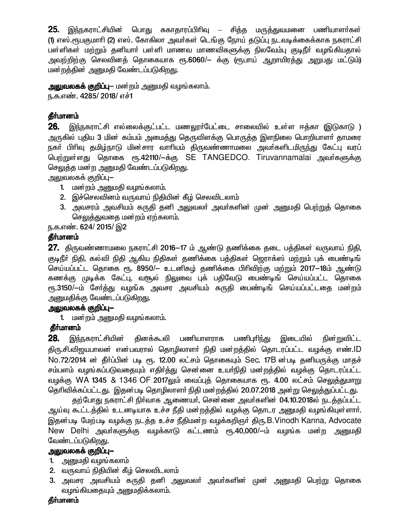25. இந்நகராட்சியின் பொது சுகாதாரப்பிரிவு — சித்த மருத்துவமனை பணியாளர்கள் (1) எஸ்.ரூபகுமாரி (2) எஸ். கோகிலா அவர்கள் டெங்கு நோய் தடுப்பு நடவடிக்கைக்காக நகராட்சி பள்ளிகள் மற்றும் தனியாா் பள்ளி மாணவ மாணவிகளுக்கு நிலவேம்பு குடிநீா் வழங்கியதால் அவற்றிற்கு செலவினத் தொகையாக ரூ.6060/— க்கு (ரூபாய் ஆறாயிரத்து அறுபது மட்டும்) மன்றத்தின் அனுமதி வேண்டப்படுகிறது.

அலுவலகக் குறிப்பு— மன்றம் அனுமதி வழங்கலாம். ந.க.எண். 4285/ 2018/ எச்1

### தீா்மானம்

26. இந்நகராட்சி எல்லைக்குட்பட்ட மணலூா்பேட்டை சாலையில் உள்ள ஈத்கா (இடுகாடு ) அருகில் புதிய 3 மின் கம்பம் அமைத்து தெருவிளக்கு பொருத்த இளநிலை பொறியாளா் தாமரை நகா பிரிவு தமிழ்நாடு மின்சார வாரியம் திருவண்ணாமலை அவா்களிடமிருந்து கேட்பு வரப் பெற்றுள்ளது தொகை ரூ.42110/–க்கு SE TANGEDCO. Tiruvannamalai அவர்களுக்கு செலுத்த மன்ற அனுமதி வேண்டப்படுகிறது.

அலுவலகக் குறிப்பு—

- 1. மன்றம் அனுமதி வழங்கலாம்.
- 2. இச்செலவினம் வருவாய் நிதியின் கீழ் செலவிடலாம்
- 3. அவசரம் அவசியம் கருதி தனி அலுவலா் அவா்களின் முன் அனுமதி பெற்றுத் தொகை செலுத்துவதை மன்றம் ஏற்கலாம்.

ந.க.எண். 624/ 2015/ இ2

### தீர்மானம்

27. திருவண்ணாமலை நகராட்சி 2016–17 ம் ஆண்டு தணிக்கை தடை பத்திகள் வருவாய் நிதி, குடிநீா் நிதி, கல்வி நிதி ஆகிய நிதிகள் தணிக்கை பத்திகள் ஜெராக்ஸ் மற்றும் புக் பைண்டிங் செய்யப்பட்ட தொகை ரூ. 8950/— உடனிகழ் தணிக்கை பிரிவிற்கு மற்றும் 2017—18ம் ஆண்டு கணக்கு முடிக்க கேட்பு, வசூல் நிலுவை புக் பதிவேடு பைண்டிங் செய்யப்பட்ட தொகை ரு.3150/—ம் சேர்த்து வழங்க அவசர அவசியம் கருதி பைண்டிங் செய்யப்பட்டதை மன்றம் அனுமதிக்கு வேண்டப்படுகிறது.

### அலுவலகக் குறிப்பு-

1. மன்றம் அனுமதி வழங்கலாம்.

### தீா்மானம்

28. இந்நகராட்சியின் தினக்கூலி பணியாளராக பணிபுாிந்து இடையில் நின்றுவிட்ட திரு.சி.விஜயபாலன் என்பவரால் தொழிலாளர் நிதி மன்றத்தில் தொடரப்பட்ட வழக்கு எண்.ID No.72/2014 ன் தீர்ப்பின் படி ரூ. 12.00 லட்சம் தொகையும் Sec. 17B ன்படி தனியருக்கு மாதச் சம்பளம் வமங்கப்படுவதையும் எதிர்த்து சென்னை உயர்நிதி மன்றத்தில் வழக்கு தொடரப்பட்ட வழக்கு WA 1345 & 1346 OF 2017லும் வைப்புக் தொகையாக ரூ. 4.00 லட்சம் செலுக்குமாறு தெரிவிக்கப்பட்டது. இதன்படி தொழிலாளர் நிதி மன்றத்தில் 20.07.2018 அன்று செலுத்துப்பட்டது.

தற்போது நகராட்சி நிர்வாக ஆணையர், சென்னை அவர்களின் 04.10.2018ல் நடத்தப்பட்ட ஆய்வு கூட்டத்தில் உடனடியாக உச்ச நீதி மன்றத்தில் வழக்கு தொடர அனுமதி வழங்கியுள்ளார். இதன்படி மேற்படி வழக்கு நடத்த உச்ச நீதிமன்ற வழக்கறிஞர் திரு.B.Vinodh Kanna, Advocate New Delhi அவர்களுக்கு வழக்காடு கட்டணம் ரூ.40,000/-ம் வழங்க மன்ற அனுமதி வேண்டப்படுகிறது.

### அலுவலகக் குறிப்பு—

- 1. அனுமதி வழங்கலாம்
- 2. வருவாய் நிதியின் கீழ் செலவிடலாம்
- 3. அவசர அவசியம் கருதி தனி அலுவலா் அவா்களின் முன் அனுமதி பெற்று தொகை வழங்கியதையும் அனுமதிக்கலாம்.

#### தீர்மானம்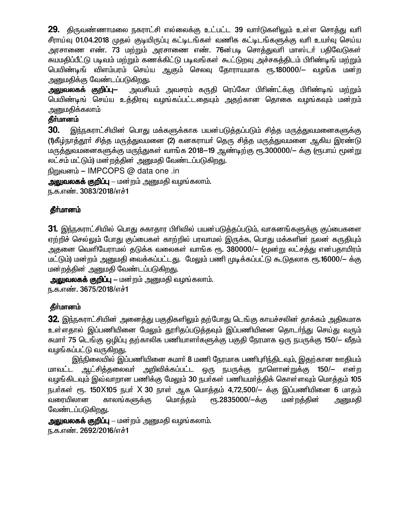29. திருவண்ணாமலை நகராட்சி எல்லைக்கு உட்பட்ட 39 வார்டுகளிலும் உள்ள சொத்து வரி சீராய்வு 01.04.2018 முதல் குடியிருப்பு கட்டிடங்கள் வணிக கட்டிடங்களுக்கு வரி உயர்வு செய்ய அரசாணை எண். 73 மற்றும் அரசாணை எண். 76ன்படி சொத்துவரி மாஸ்டர் பதிவேடுகள் சுயமதிப்பீட்டு படிவம் மற்றும் கணக்கிட்டு படிவங்கள் கூட்டுறவு அச்சகத்திடம் பிரிண்டிங் மற்றும் பெயிண்டிங் விளம்பரம் செய்ய ஆகும் செலவு தோராயமாக ரூ.180000/— வழங்க மன்ற அனுமதிக்கு வேண்டப்படுகிறது.

அவசியம் அவசாம் கருதி ரெப்கோ பிரிண்ட்க்கு பிரிண்டிங் மற்றும் அலுவலகக் குறிப்பு— பெயிண்டிங் செய்ய உத்திரவு வழங்கப்பட்டதையும் அதற்கான தொகை வழங்கவும் மன்றம் அனுமதிக்கலாம்

### தீர்மானம்

30. இந்நகராட்சியின் பொது மக்களுக்காக பயன்படுத்தப்படும் சித்த மருத்துவமனைகளுக்கு (1)கீழ்நாத்தூர் சித்த மருத்துவமனை (2) கனகராயர் தெரு சித்த மருத்துவமனை ஆகிய இரண்டு மருத்துவமனைகளுக்கு மருந்துகள் வாங்க 2018—19 ஆண்டிற்கு ரூ.300000/— க்கு (ரூபாய் மூன்று லட்சம் மட்டும்) மன்றத்தின் அனுமதி வேண்டப்படுகிறது.

நிறுவனம் – IMPCOPS @ data one .in

அலுவலகக் குறிப்பு – மன்றம் அனுமதி வழங்கலாம்.

ந.க.எண். 3083/2018/எச்1

### தீா்மானம்

31. இந்நகராட்சியில் பொது சுகாதார பிரிவில் பயன்படுத்தப்படும், வாகனங்களுக்கு குப்பைகளை ஏற்றிச் செல்லும் போது குப்பைகள் காற்றில் பரவாமல் இருக்க, பொது மக்களின் நலன் கருதியும் அதனை வெளியேராமல் தடுக்க வலைகள் வாங்க ரூ. 380000/— (மூன்று லட்சக்து என்பதாயிரம் மட்டும்) மன்றம் அனுமதி வைக்கப்பட்டது. மேலும் பணி முடிக்கப்பட்டு கூடுதலாக ரூ.16000/— க்கு மன்றத்தின் அனுமதி வேண்டப்படுகிறது.

அலுவலகக் குறிப்பு – மன்றம் அனுமதி வழங்கலாம். ந.க.எண். 3675/2018/எச்1

### தீர்மானம்

32. இந்நகராட்சியின் அனைத்து பகுதிகளிலும் தற்போது டெங்கு காயச்சலின் தாக்கம் அதிகமாக உள்ளதால் இப்பணியினை மேலும் தூரிதப்படுத்தவும் இப்பணியினை தொடா்ந்து செய்து வரும் சுமார் 75 டெங்கு ஒழிப்பு தற்காலிக பணியாளர்களுக்கு பகுதி நேரமாக ஒரு நபருக்கு 150/– வீதம் வழங்கப்பட்டு வருகி<u>றத</u>ு.

இந்நிலையில் இப்பணியினை சுமார் 8 மணி நேரமாக பணிபுரிந்திடவும், இதற்கான ஊதியம் மாவட்ட ஆட்சித்தலைவர் அறிவிக்கப்பட்ட ஒரு நபருக்கு நாளொன்றுக்கு 150/— என்ற வழங்கிடவும் இவ்வாறான பணிக்கு மேலும் 30 நபர்கள் பணியமர்த்திக் கொள்ளவும் மொத்தம் 105 நபா்கள் ரூ. 150 $X$ 105 நபா்  $X$  30 நாள் ஆக மொத்தம் 4,72,500/— க்கு இப்பணியினை 6 மாதம் வரையிலான காலங்களுக்கு மொக்கம் ரு.2835000/-க்கு மன்றத்தின் அனுமகி வேண்டப்படுகிறது.

அலுவலகக் குறிப்பு – மன்றம் அனுமதி வழங்கலாம். ந.க.எண். 2692/2016/எச்1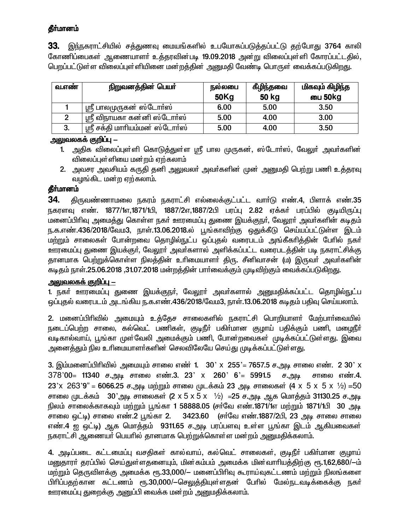33. இந்நகராட்சியில் சத்துணவு மையங்களில் உபயோகப்படுத்தப்பட்டு தற்போது 3764 காலி கோணிப்பைகள் ஆணையாளர் உத்தரவின்படி 19.09.2018 அன்று விலைப்புள்ளி கோரப்பட்டதில், பெறப்பட்டுள்ள விலைப்புள்ளியினை மன்றத்தின் அனுமதி வேண்டி பொருள் வைக்கப்படுகிறது.

| வ.எண் | நிறுவனத்தின் பெயர்               | நல்லபை<br>50Kg | கீழிந்தவை<br>50 kg | மிகவும் கிழிந்த<br>பை 50kg |
|-------|----------------------------------|----------------|--------------------|----------------------------|
|       | ஸ்ரீ பாலமுருகன் ஸ்டோா்ஸ்         | 6.00           | 5.00               | 3.50                       |
| 2     | ஸ்ரீ விநாயகா கன்னி ஸ்டோா்ஸ்      | 5.00           | 4.00               | 3.00                       |
| 3.    | ் ஸ்ரீ சக்தி மாரியம்மன் ஸ்டோா்ஸ் | 5.00           | 4.00               | 3.50                       |

### அலுவலகக் குறிப்பு —

- 1. அதிக விலைப்புள்ளி கொடுத்துள்ள ஸ்ரீ பால முருகன்,ஸ்டோா்ஸ், வேலுா் அவா்களின் விலைப்புள்ளியை மன்றம் ஏற்கலாம்
- 2. அவசர அவசியம் கருதி தனி அலுவலா் அவா்களின் முன் அனுமதி பெற்று பணி உத்தரவு வழங்கிட மன்ற ஏற்கலாம்.

### தீர்மானம்

34. திருவண்ணாமலை நகரம் நகராட்சி எல்லைக்குட்பட்ட வாா்டு எண்.4, பிளாக் எண்.35 நகரளவு எண். 1877/1எ,1871/1பி, 1887/2எ,1887/2பி பரப்பு 2.82 ஏக்கர் பரப்பில் குடியிருப்பு மனைப்பிரிவு அமைத்து கொள்ள நகா் ஊரமைப்பு துணை இயக்குநா், வேலூா் அவா்களின் கடிதம் ந.க.எண்.436/2018/வேம3, நாள்.13.06.2018.ல் பூங்காவிற்கு ஒதுக்கீடு செய்யப்பட்டுள்ள இடம் மற்றும் சாலைகள் போன்றவை தொழில்நுட்ப ஒப்புதல் வரைபடம் அங்கீகரித்தின் பேரில் நகர் ஊரமைப்பு துணை இயக்குா், வேலூா் அவா்களால் அளிக்கப்பட்ட வரைபடத்தின் படி நகராட்சிக்கு தானமாக பெற்றுக்கொள்ள நிலத்தின் உரிமையாளா் திரு. சீனிவாசன் (ம) இருவா் அவா்களின் கடிதம் நாள்.25.06.2018 ,31.07.2018 மன்றத்தின் பார்வைக்கும் முடிவிற்கும் வைக்கப்படுகிறது.

### <u> அலுவலகக் குறிப்பு —</u>

1. நகா் ஊரமைப்பு துணை இயக்குநா், வேலூா் அவா்களால் அனுமதிக்கப்பட்ட தொழில்நுட்ப ஒப்புதல் வரைபடம் அடங்கிய ந.க.எண்.436/2018/வேம3, நாள்.13.06.2018 கடிதம் பதிவு செய்யலாம்.

2. மனைப்பிரிவில் அமையும் உத்தேச சாலைகளில் நகராட்சி பொறியாளர் மேற்பார்வையில் நடைப்பெற்ற சாலை, கல்வெட் பணிகள், குடிநீா் பகிா்மான குழாய் பதிக்கும் பணி, மழைநீா் வடிகால்வாய், பூங்கா முள்வேலி அமைக்கும் பணி, போன்றவைகள் முடிக்கப்பட்டுள்ளது. இவை அனைத்தும் நில உரிமையாளர்களின் செலவிலேயே செய்து முடிக்கப்பட்டுள்ளது.

3. இம்மனைப்பிரிவில் அமையும் சாலை எண் 1.  $30'$  x 255'= 7657.5 ச.அடி சாலை எண். 2 30' x 378'00= 11340 ச.அடி சாலை எண்.3. 23' x 260' 6'= 5991.5 ச.அடி சாலை எண்.4.  $23'$  x  $263'$ 9" = 6066.25 ச.அடி மற்றும் சாலை முடக்கம் 23 அடி சாலைகள் (4 x 5 x 5 x 1/2) = 50 சாலை முடக்கம் 30'அடி சாலைகள் (2 x 5 x 5 x  $\frac{1}{2}$ ) =25 ச.அடி ஆக மொத்தம் 31130.25 ச.அடி நிலம் சாலைக்காகவும் மற்றும் பூங்கா 1 58888.05 (சர்வே எண்.1871/1எ மற்றும் 1871/1பி 30 அடி சாலை ஒட்டி) சாலை எண்.2 பூங்கா 2. 3423.60 (சர்வே எண்.1887/2பி, 23 அடி சாலை சாலை எண்.4 ஐ ஒட்டி) ஆக மொத்தம் 9311.65 ச.அடி பரப்பளவு உள்ள பூங்கா இடம் ஆகியவைகள் நகராட்சி ஆணையா் பெயரில் தானமாக பெற்றுக்கொள்ள மன்றம் அனுமதிக்கலாம்.

4. அடிப்படை கட்டமைப்பு வசதிகள் கால்வாய், கல்வெட் சாலைகள், குடிநீா் பகிா்மான குழாய் மனுகாரா் கரப்பில் செய்துள்ளகனையும், மின்கம்பம் அமைக்க மின்வாாியக்கிற்கு ரூ.1,62,680/—ம் மற்றும் தெருவிளக்கு அமைக்க ரூ.33,000/— மனைப்பிரிவு கூராய்வுகட்டணம் மற்றும் நிலங்களை பிரிப்பதற்கான கட்டணம் ரூ.30,000/—செலுத்தியுள்ளதன் பேரில் மேல்நடவடிக்கைக்கு நகர் ஊரமைப்பு துறைக்கு அனுப்பி வைக்க மன்றம் அனுமதிக்கலாம்.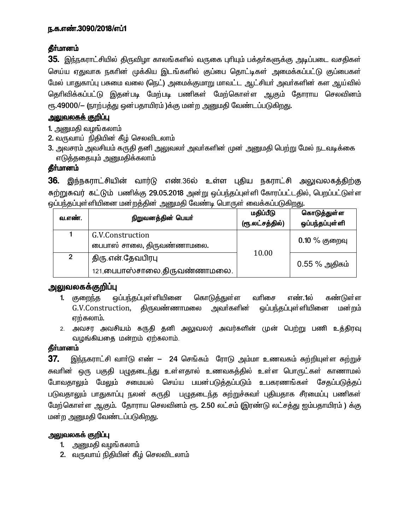35. இந்நகராட்சியில் திருவிழா காலங்களில் வருகை புரியும் பக்தர்களுக்கு அடிப்படை வசதிகள் செய்ய ஏதுவாக நகரின் முக்கிய இடங்களில் குப்பை தொட்டிகள் அமைக்கப்பட்டு குப்பைகள் மேல் பாதுகாப்பு பசுமை வலை (நெட்) அமைக்குமாறு மாவட்ட ஆட்சியர் அவர்களின் கள ஆய்வில் தெரிவிக்கப்பட்டு இதன்படி மேற்படி பணிகள் மேற்கொள்ள ஆகும் தோராய செலவினம் ரூ.49000/— (நாற்பத்து ஒன்பதாயிரம் )க்கு மன்ற அனுமதி வேண்டப்படுகிறது.

### <u>அலுவலகக் குறிப்பு</u>

1. அனுமதி வழங்கலாம்

- 2. வருவாய் நிதியின் கீழ் செலவிடலாம்
- 3. அவசரம் அவசியம் கருதி தனி அலுவலர் அவர்களின் முன் அனுமதி பெற்று மேல் நடவடிக்கை எடுத்ததையும் அனுமதிக்கலாம்

### தீா்மானம்

36. இந்நகராட்சியின் வார்டு எண்.36ல் உள்ள புதிய நகராட்சி அலுவலகத்திற்கு சுற்றுசுவர் கட்டும் பணிக்கு 29.05.2018 அன்று ஒப்பந்தப்புள்ளி கோரப்பட்டதில், பெறப்பட்டுள்ள <u>ஒ</u>ப்பந்தப்புள்ளியினை மன்றத்தின் அனுமதி வேண்டி பொருள் வைக்கப்படுகிறது.

| வ.எண். | நிறுவனத்தின் பெயர்                                  | மதிப்பீடு<br>(ரூ.லட்சத்தில்) | கொடுத்துள்ள<br>ஒப்பந்தப்புள்ளி |
|--------|-----------------------------------------------------|------------------------------|--------------------------------|
|        | G.V.Construction<br>பைபாஸ் சாலை, திருவண்ணாமலை.      |                              | $0.10\ \%$ குறைவு              |
| 2      | திரு என் தேவபிரபு<br>121, பைபாஸ்சாலை, திருவண்ணாமலை. | 10.00                        | $0.55\%$ அதிகம்                |

# <u>அலுவலகக்குறிப்பு</u>

- 1. குறைந்த ஒப்பந்தப்புள்ளியினை கொடுத்துள்ள வரிசை எண்.1ல் கண்டுள்ள G.V.Construction, திருவண்ணாமலை அவா்களின் ஒப்பந்தப்புள்ளியினை மன்றம் ஏற்கலாம்.
- 2. அவசர அவசியம் கருதி தனி அலுவலர் அவர்களின் முன் பெற்று பணி உத்திரவு வழங்கியதை மன்றம் ஏற்கலாம்.

# தீர்மானம்

 $37.$  இந்நகராட்சி வார்டு எண்  $-$  24 செங்கம் ரோடு அம்மா உணவகம் சுற்றியுள்ள சுற்றுச் சுவரின் ஒரு பகுதி பமுதடைந்து உள்ளதால் உணவகத்தில் உள்ள பொருட்கள் காணாமல் போவதாலும் மேலும் சமையல் செய்ய பயன்படுத்தப்படும் உபகரணங்கள் சேதப்படுத்தப் படுவதாலும் பாதுகாப்பு நலன் கருதி பழுதடைந்த கற்றுச்சுவா் புதியதாக சீரமைப்பு பணிகள் மேற்கொள்ள ஆகும். தோராய செலவினம் ரூ. 2.50 லட்சம் (இரண்டு லட்சத்து ஐம்பதாயிரம் ) க்கு மன்ற அனுமதி வேண்டப்படுகிறது.

### அலுவலகக் குறி**ப்**பு

- 1. அனுமதி வழங்கலாம்
- 2. வருவாய் நிதியின் கீழ் செலவிடலாம்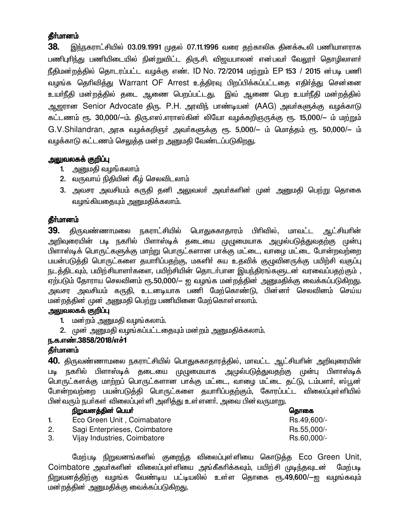38. இந்நகராட்சியில் 03.09.1991 முதல் 07.11.1996 வரை தற்காலிக தினக்கூலி பணியாளராக பணிபுரிந்து பணியிடையில் நின்றுவிட்ட திரு.சி. விஜயபாலன் என்பவர் வேலூர் தொழிலாளர் நீதிமன்றத்தில் தொடரப்பட்ட வழக்கு எண். ID No. 72/2014 மற்றும் EP 153 / 2015 ன்படி பணி வழங்க தெரிவித்து Warrant OF Arrest உத்திரவு பிறப்பிக்கப்பட்டதை எதிர்த்து சென்னை உயா்நீதி மன்றத்தில் தடை ஆணை பெறப்பட்டது. இவ் ஆணை பெற உயா்நீதி மன்றத்தில் ஆஜரான Senior Advocate திரு. P.H. அரவிந் பாண்டியன் (AAG) அவா்களுக்கு வழக்காடு கட்டணம் ரூ. 30,000/-ம். திரு.எஸ்.எராஸ்கின் லியோ வழக்கறிஞருக்கு ரூ. 15,000/– ம் மற்றும் G.V.Shilandran, அரசு வழக்கறிஞர் அவர்களுக்கு ரூ. 5,000/– ம் மொத்தம் ரூ. 50,000/– ம் வழக்காடு கட்டணம் செலுத்த மன்ற அனுமதி வேண்டப்படுகிறது.

### அலுவலகக் குறிப்பு

- 1. அனுமதி வழங்கலாம்
- 2. வருவாய் நிதியின் கீழ் செலவிடலாம்
- 3. அவசர அவசியம் கருதி தனி அலுவலா் அவா்களின் முன் அனுமதி பெற்று தொகை வழங்கியதையும் அனுமதிக்கலாம்.

### **கீர்மானம்**

39. திருவண்ணாமலை நகராட்சியில் பொதுசுகாதாரம் பிரிவில், மாவட்ட ஆட்சியரின் அறிவுரையின் படி நகரில் பிளாஸ்டிக் தடையை முழுமையாக அமுல்படுத<u>்து</u>வதற்கு முன்பு பிளாஸ்டிக் பொருட்களுக்கு மாற்று பொருட்களான பாக்கு மட்டை, வாழை மட்டை போன்றவற்றை பயன்படுத்தி பொருட்களை தயாாிப்பதற்கு, மகளிா் சுய உதவிக் குழுவினருக்கு பயிற்சி வகுப்பு நடத்திடவும், பயிற்சியாளர்களை, பயிற்சியின் தொடர்பான இயந்திரங்களுடன் வரவைப்பதற்கும் , ஏற்படும் தோராய செலவினம் ரூ.50,000/— ஐ வழங்க மன்றத்தின் அனுமதிக்கு வைக்கப்படுகிறது. அவசர அவசியம் கருதி, உடனடியாக பணி மேற்கொண்டு, பின்னா் செலவினம் செய்ய மன்றத்தின் முன் அனுமதி பெற்று பணியினை மேற்கொள்ளலாம்.

### அலுவலகக் குறிப்பு

- 1. மன்றம் அனுமதி வழங்கலாம்.
- 2. முன் அனுமதி வழங்கப்பட்டதையும் மன்றம் அனுமதிக்கலாம்.

### ந.க.எண்.3858/2018/எச்1

### தீா்மானம்

**40.** திருவண்ணாமலை நகராட்சியில் பொதுசுகாதாரத்தில், மாவட்ட ஆட்சியாின் அறிவுரையின் படி நகரில் பிளாஸ்டிக் தடையை முழுமையாக அமுல்படுத்துவதற்கு முன்பு பிளாஸ்டிக் பொருட்களக்கு மாற்றப் பொருட்களான பாக்கு மட்டை, வாழை மட்டை தட்டு, டம்பளர், ஸ்பூன் போன்றவற்றை பயன்படுத்தி பொருட்களை தயாரிப்பதற்கும், கோரப்பட்ட விலைப்புள்ளியில் பின்வரும் நபா்கள் விலைப்புள்ளி அளித்து உள்ளனா். அவை பின்வருமாறு.

|    | நிறுவனத்தின் பெயர்            | தொகை        |
|----|-------------------------------|-------------|
|    | Eco Green Unit, Coimabatore   | Rs.49,600/- |
| 2. | Sagi Enterprieses, Coimbatore | Rs.55,000/- |
| 3. | Vijay Industries, Coimbatore  | Rs.60,000/- |

மேற்படி நிறுவனங்களில் குறைந்த விலைப்புள்ளியை கொடுத்த Eco Green Unit, Coimbatore அவர்களின் விலைப்புள்ளியை அங்கீகரிக்கவும், பயிற்சி முடிந்தவுடன் மேற்படி நிறுவனத்திற்கு வழங்க வேண்டிய பட்டியலில் உள்ள தொகை ரூ.49,600/—ஐ வழங்கவும் மன்றத்தின் அனுமதிக்கு வைக்கப்படுகிறது.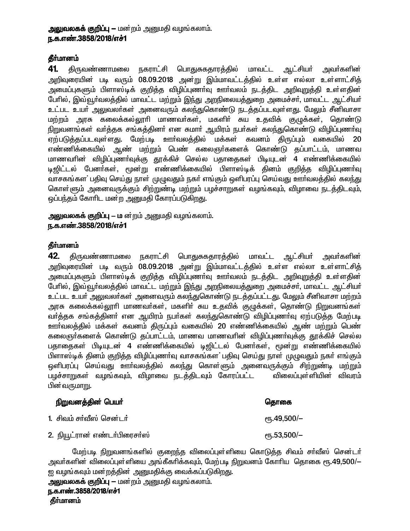### அலுவலகக் குறிப்பு — மன்றம் அனுமதி வழங்கலாம். ந.க.எண்.3858/2018/எச்1

### தீா்மானம்

41. திருவண்ணாமலை நகராட்சி பொதுசுகதாரத்தில் மாவட்ட ஆட்சியா் அவா்களின் அறிவுரையின் படி வரும் 08.09.2018 அன்று இம்மாவட்டத்தில் உள்ள எல்லா உள்ளாட்சித் .<br>அமைப்புகளும் பிளாஸ்டிக் குறித்த விழிப்புணாவு ஊா்வலம் நடத்திட அறிவறுத்தி உள்ளதின் பேரில், இவ்வூர்வலத்தில் மாவட்ட மற்றும் இந்து அறநிலையத்துறை அமைச்சர், மாவட்ட ஆட்சியர் உட்பட உயா அலுவலா்கள் அனைவரும் கலந்துகொண்டு நடத்தப்படவுள்ளது. மேலும் சீனிவாசா மற்றம் அரசு கலைக்கல்லூரி மாணவர்கள், மகளிர் சுய உதவிக் குழுக்கள், தொண்டு நிறுவனங்கள் வாத்தக சங்கத்தினா் என சுமாா் ஆயிரம் நபா்கள் கலந்துகொண்டு விழிப்புணா்வு ஏற்படுத்தப்படவுள்ளது. மேற்படி ஊர்வலத்தில் மக்கள் கவனம் திருப்பும் வகையில் 20 எண்ணிக்கையில் ஆண் மற்றும் பெண் கலைஞர்களைக் கொண்டு தப்பாட்டம். மாணவ மாணவரின் விழிப்புணா்வுக்கு தூக்கிச் செல்ல பதாதைகள் பிடியுடன் 4 எண்ணிக்கையில் டிஜிட்டல் பேனா்கள், மூன்று எண்ணிக்கையில் பிளாஸ்டிக் தினம் குறித்த விழிப்புணா்வு வாசகங்கள பதிவு செய்து நாள் முழுவதும் நகர் எங்கும் ஒளிபரப்பு செய்வது ஊர்வலத்தில் கலந்து கொள்ளும் அனைவருக்கும் சிற்றுண்டி மற்றும் பழச்சாறுகள் வழங்கவும், விழாவை நடக்கிடவும், ஒப்பந்தம் கோரிட மன ற அனுமதி கோரப்படுகிறது.

#### அலுவலகக் குறிப்பு – ம ன்றம் அனுமதி வழங்கலாம். ந.க.எண்.3858/2018/எச்1

#### **தீர்மானம்**

42. திருவண்ணாமலை நகராட்சி பொதுசுகதாரத்தில் மாவட்ட ஆட்சியர் அவா்களின் அறிவுரையின் படி வரும் 08.09.2018 அன்று இம்மாவட்டத்தில் உள்ள எல்லா உள்ளாட்சித் அமைப்புகளும் பிளாஸ்டிக் குறித்த விழிப்புணா்வு ஊா்வலம் நடத்திட அறிவுறுத்தி உள்ளதின் பேரில், இவ்வூர்வலத்தில் மாவட்ட மற்றும் இந்து அறநிலையத்துறை அமைச்சர், மாவட்ட ஆட்சியர் <u>உட்பட உயர் அலுவலர்கள் அனைவரும் கலந்துகொண்டு நடத்தப்பட்டது. மேலும் சீனிவாசா மற்றம் </u> அரசு கலைக்கல்லூரி மாணவா்கள், மகளிா் சுய உதவிக் குழுக்கள், தொண்டு நிறுவனங்கள் வர்த்தக சங்கத்தினர் என ஆயிரம் நபர்கள் கலந்துகொண்டு விழிப்புணர்வு ஏற்படுத்த மேற்படி ஊர்வலத்தில் மக்கள் கவனம் திருப்பும் வகையில் 20 எண்ணிக்கையில் ஆண் மற்றும் பெண் கலைஞர்களைக் கொண்டு தப்பாட்டம், மாணவ மாணவரின் விழிப்புணர்வுக்கு தூக்கிச் செல்ல பதாதைகள் பிடியுடன் 4 எண்ணிக்கையில் டிஜிட்டல் பேனர்கள், மூன்று எண்ணிக்கையில் பிளாஸ்டிக் தினம் குறித்த விழிப்புணா்வு வாசகங்கள பதிவு செய்து நாள் முழுவதும் நகா் எங்கும் ஒளிபரப்பு செய்வது ஊர்வலத்தில் கலந்து கொள்ளும் அனைவருக்கும் சிற்றுண்டி மற்றும் பழச்சாறுகள் வழங்கவும், விழாவை நடத்திடவும் கோரப்பட்ட விலைப்புள்ளியின் விவரம் பின்வருமாறு.

#### நிறுவனத்தின் பெயர்

#### தொகை

<sub>С</sub>п, 49,500/-

 $\rm{e}$ Гђ.53,500/-

- 1. சிவம் சர்வீஸ் சென்டர்
- 2. நியூட்ரான் எண்டர்பிரைசர்ஸ்

மேற்படி நிறுவனங்களில் குறைந்த விலைப்புள்ளியை கொடுத்த சிவம் சா்வீஸ் சென்டா் அவா்களின் விலைப்புள்ளியை அங்கீகாிக்கவும், மேற்படி நிறுவனம் கோாிய தொகை ரூ.49,500/— ஐ வழங்கவும் மன்றத்தின் அனுமதிக்கு வைக்கப்படுகிறது.

```
அலுவலகக் குறிப்பு — மன்றம் அனுமதி வழங்கலாம்.
ந.க.எண்.3858/2018/எச்1
தீர்மானம்
```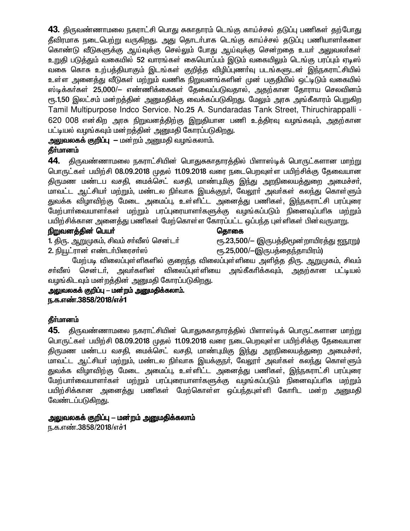43. திருவண்ணாமலை நகராட்சி பொது சுகாதாரம் டெங்கு காய்ச்சல் தடுப்பு பணிகள் தற்போது தீவிரமாக நடைபெற்று வருகிறது. அது தொடர்பாக டெங்கு காய்ச்சல் தடுப்பு பணியாளர்களை கொண்டு வீடுகளுக்கு ஆய்வுக்கு செல்லும் போது ஆய்வுக்கு சென்றதை உயர் அலுவலர்கள் உறுதி படுத்தும் வகையில் 52 வாரங்கள் கையொப்பம் இடும் வகையிலும் டெங்கு பரப்பும் ஏடிஸ் வகை கொசு உற்பத்தியாகும் இடங்கள் குறித்த விழிப்புணா்வு படங்களுடன் இந்நகராட்சியில் உள்ள அனைத்து வீடுகள் மற்றும் வணிக நிறுவனங்களின் முன் பகுதியில் ஒட்டிடும் வகையில் ஸ்டிக்கா்கள் 25,000/— எண்ணிக்கைகள் தேவைப்படுவதால், அதற்கான தோராய செலவினம் ரூ.1,50 இலட்சம் மன்றத்தின் அனுமதிக்கு வைக்கப்படுகிறது. மேலும் அரசு அங்கீகாரம் பெறுகிற Tamil Multipurpose Indco Service. No.25 A. Sundaradas Tank Street, Thiruchirappalli -620 008 என்கிற அரசு நிறுவனத்திற்கு இறுதியான பணி உத்திரவு வமங்கவும், அதற்கான பட்டியல் வழங்கவும் மன றத்தின் அனுமதி கோரப்படுகிறது.

அலுவலகக் குறிப்பு — மன்றம் அனுமதி வழங்கலாம்.

### தீர்மானம்

44. திருவண்ணாமலை நகராட்சியின் பொதுசுகாதாரத்தில் பிளாஸ்டிக் பொருட்களான மாற்று பொருட்கள் பயிற்சி 08.09.2018 முதல் 11.09.2018 வரை நடைபெறவுள்ள பயிற்சிக்கு கேவையான திருமண மண்டப வசதி, மைக்செட் வசதி, மாண்புமிகு இந்து அறநிலையத்துறை அமைச்சர், மாவட்ட ஆட்சியா் மற்றும், மண்டல நிா்வாக இயக்குநா், வேலூா் அவா்கள் கலந்து கொள்ளும் துவக்க விழாவிற்கு மேடை அமைப்பு, உள்ளிட்ட அனைத்து பணிகள், இந்நகராட்சி பரப்புரை மேற்பாா்வையாளா்கள் மற்றும் பரப்புரையாளா்களுக்கு வழங்கப்படும் நினைவுப்பாிசு மற்றும் பயிற்சிக்கான அனைத்து பணிகள் மேற்கொள்ள கோரப்பட்ட ஒப்பந்த புள்ளிகள் பின்வருமாறு.

### நிறுவனத்தின் பெயர்

கொகை

1. திரு. ஆறுமுகம், சிவம் சர்வீஸ் சென்டர்

ரூ.23,500/- (இருபத்திமூன்றாயிரத்து ஐநூறு) ரூ.25,000/-(இருபத்தைந்தாயிரம்)

2. நியூட்ரான் எண்டர்பிரைசர்ஸ் மேற்படி விலைப்புள்ளிகளில் குறைந்த விலைப்புள்ளியை அளித்த திரு. ஆறுமுகம், சிவம் சர்வீஸ் சென்டர், அவர்களின் விலைப்புள்ளியை அங்கீகரிக்கவும், அதற்கான பட்டியல் வழங்கிடவும் மன்றத்தின் அனுமதி கோரப்படுகிறது.

அலுவலகக் குறிப்பு – மன்றம் அனுமதிக்கலாம். ந.க.எண்.3858/2018/எச்1

### தீர்மானம்

திருவண்ணாமலை நகராட்சியின் பொதுசுகாதாரத்தில் பிளாஸ்டிக் பொருட்களான மாற்று 45. பொருட்கள் பயிற்சி 08.09.2018 முதல் 11.09.2018 வரை நடைபெறவுள்ள பயிற்சிக்கு கேவையான திருமண மண்டப வசதி, மைக்செட் வசதி, மாண்புமிகு இந்து அறநிலையத்துறை அமைச்சா், மாவட்ட ஆட்சியா் மற்றும், மண்டல நிா்வாக இயக்குநா், வேலூா் அவா்கள் கலந்து கொள்ளும் துவக்க விழாவிற்கு மேடை அமைப்பு, உள்ளிட்ட அனைத்து பணிகள், இந்நகராட்சி பரப்புரை மேற்பாா்வையாளா்கள் மற்றும் பரப்புரையாளா்களுக்கு வழங்கப்படும் நினைவுப்பாிசு மற்றும் பயிற்சிக்கான அனைத்து பணிகள் மேற்கொள்ள ஒப்பந்தபுள்ளி கோரிட மன்ற அனுமதி வேண்டப்படுகிறது.

### அலுவலகக் குறிப்பு – மன்றம் அனுமதிக்கலாம்

ந.க.எண்.3858/2018/எச்1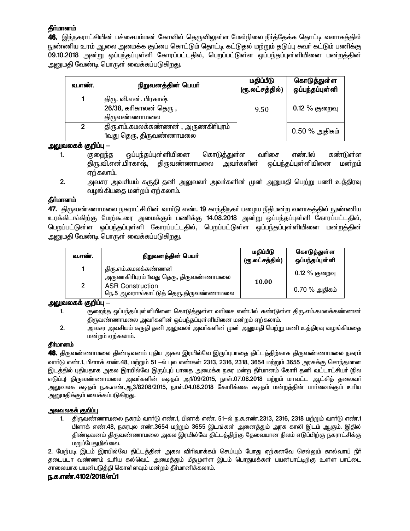46. இந்நகராட்சியின் பச்சையம்மன் கோவில் தெருவிலுள்ள மேல்நிலை நீர்த்தேக்க தொட்டி வளாகத்தில் நுண்ணிய உரம் ஆலை அமைக்க குப்பை கொட்டும் தொட்டி கட்டுதல் மற்றும் தடுப்பு சுவர் கட்டும் பணிக்கு 09.10.2018 அன்று ஒப்பந்தப்புள்ளி கோரப்பட்டதில், பெறப்பட்டுள்ள ஒப்பந்தப்புள்ளியினை மன்றத்தின் அனுமதி வேண்டி பொருள் வைக்கப்படுகிறது.

| வ.எண்.         | நிறுவனத்தின் பெயர்                                                | மதிப்பீடு<br>(ரூ.லட்சத்தில்) | கொடுத்துள்ள<br>ஒப்பந்தப்புள்ளி |
|----------------|-------------------------------------------------------------------|------------------------------|--------------------------------|
|                | திரு. வி.என். பிரகாஷ்<br>$26/38$ , கரிகாலன் தெரு,<br>திருவண்ணாமலை | 9.50                         | $0.12\%$ குறைவு                |
| $\overline{2}$ | திரு.எம்.கமலக்கண்ணன், அருணகிரிபுரம்<br>1வது தெரு, திருவண்ணாமலை    |                              | $0.50\%$ அதிகம்                |

#### அலுவலகக் குறிப்பு  $-$

- ஒப்பந்தப்புள்ளியினை  $1.$ கொடுத்துள்ள வரிசை எண்.1ல் கண்டுள்ள குறைந்த திரு.வி.என்.பிரகாஷ், <u> கிருவண்ணாமலை</u> அவா்களின் ஒப்பந்தப்புள்*ளி*யினை மன்றம் ஏற்கலாம்.
- $2.$ அவசர அவசியம் கருதி தனி அலுவலா் அவா்களின் முன் அனுமதி பெற்று பணி உத்திரவு வழங்கியதை மன றம் ஏற்கலாம்.

#### **கீர்மானம்**

47. திருவண்ணாமலை நகராட்சியின் வாா்டு எண். 19 காந்திநகா் பழைய நீதிமன்ற வளாகத்தில் நுண்ணிய உரக்கிடங்கிற்கு மேற்கூரை அமைக்கும் பணிக்கு 14.08.2018 அன்று ஒப்பந்தப்புள்ளி கோரப்பட்டதில், பெறப்பட்டுள்ள ஒப்பந்தப்புள்ளி கோரப்பட்டதில், பெறப்பட்டுள்ள ஒப்பந்தப்புள்ளியினை மன்றத்தின் அனுமதி வேண்டி பொருள் வைக்கப்படுகிறது.

| வ.எண். | நிறுவனத்தின் பெயர்                                               | மதிப்பீடு<br>(ரூ.லட்சத்தில்) | கொடுத்துள்ள<br>ஒப்பந்தப்புள் ளி |
|--------|------------------------------------------------------------------|------------------------------|---------------------------------|
|        | திரு.எம்.கமலக்கண்ணன்<br>அருணகிரிபுரம் 1வது தெரு, திருவண்ணாமலை    | 10.00                        | $0.12\%$ குறைவு                 |
| 2      | <b>ASR Construction</b><br>நெ.5 ஆவராங்காட்டுத் தெரு,திருவண்ணாமலை |                              | 0.70 % அதிகம்                   |

#### அலுவலகக் குறிப்பு —

- 1. குறைந்த ஒப்பந்தப்புள்ளியினை கொடுத்துள்ள வரிசை எண்.1ல் கண்டுள்ள திரு.எம்.கமலக்கண்ணன் திருவண்ணாமலை அவர்களின் ஒப்பந்தப்புள்ளியினை மன்றம் ஏற்கலாம்.
- $2.$ அவசர அவசியம் கருதி தனி அலுவலா் அவா்களின் முன் அனுமதி பெற்று பணி உத்திரவு வழங்கியதை மன்றம் ஏற்கலாம்.

#### தீர்மானம்

48. திருவண்ணாமலை திண்டிவனம் புதிய அகல இரயில்வே இருப்புபாதை திட்டத்திற்காக திருவண்ணாமலை நகரம் வார்டு எண்.1, பிளாக் எண்.48, மற்றும் 51 –ல் புல எண்கள் 2313, 2316, 2318, 3654 மற்றும் 3655 அரசுக்கு சொந்தமான இடத்தில் புதியதாக அகல இரயில்வே இருப்புப் பாதை அமைக்க நகர மன்ற தீா்மானம் கோரி தனி வட்டாட்சியா் (நில எடுப்பு) திருவண்ணாமலை அவா்களின் கடிதம் அ1/09/2015, நாள்.07.08.2018 மற்றம் மாவட்ட ஆட்சித் தலைவா் அலுவலக கடிதம் ந.க.எண்.ஆ3/8208/2015, நாள்.04.08.2018 கோரிக்கை கடிதம் மன்றத்தின் பார்வைக்கும் உரிய அனுமதிக்கும் வைக்கப்படுகிறது.

#### அலவலகக் குறிப்பு

திருவண்ணாமலை நகரம் வார்டு எண்.1, பிளாக் எண். 51–ல் ந.க.எண்.2313, 2316, 2318 மற்றும் வார்டு எண்.1  $1 -$ பிளாக் எண்.48, நகரபுல எண்.3654 மற்றும் 3655 இடங்கள் அனைத்தும் அரசு காலி இடம் ஆகும். இதில் திண்டிவனம் திருவண்ணாமலை அகல இரயில்வே திட்டத்திற்கு தேவையான நிலம் எடுப்பிற்கு நகராட்சிக்கு மறுப்பேதுமில்லை.

2. மேற்படி இடம் இரயில்வே திட்டத்தின் அகல விரிவாக்கம் செய்யும் போது ஏற்கனவே செல்லும் கால்வாய் நீர் தடைபடா வண்ணம் உரிய கல்வெட் அமைத்தும் மீதமுள்ள இடம் பொதுமக்கள் பயன்பாட்டிற்கு உள்ள பாட்டை சாலையாக பயன்படுத்தி கொள்ளவும் மன்றம் தீர்மானிக்கலாம்.

#### ந.க.எண்.4102/2018/எப்1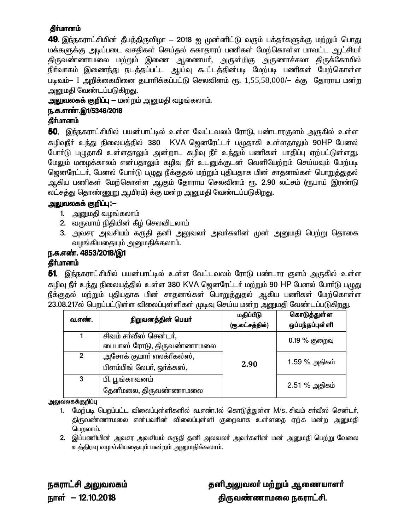**49**. இந்நகராட்சியின் தீபத்திருவிழா — 2018 ஐ முன்னிட்டு வரும் பக்தா்களுக்கு மற்றும் பொது மக்களுக்கு அடிப்படை வசதிகள் செய்தல் சுகாதாரப் பணிகள் மேற்கொள்ள மாவட்ட ஆட்சியர் திருவண்ணாமலை மற்றும் இணை ஆணையா், அருள்மிகு அருணாச்சலா திருக்கோயில் நிா்வாகம் இணைந்து நடத்தப்பட்ட ஆய்வு கூட்டத்தின்படி மேற்படி பணிகள் மேற்கொள்ள படிவம்– I அறிக்கையினை தயாரிக்கப்பட்டு செலவினம் ரூ. 1,55,58,000/– க்கு தோராய மன்ற அனுமதி வேண்டப்படுகி<u>றது</u>.

அலுவலகக் குறிப்பு — மன்றம் அனுமதி வழங்கலாம்.

### ந.க.எண்.இ1/5346/2018

### தீர்மானம்

50. இந்நகராட்சியில் பயன்பாட்டில் உள்ள வேட்டவலம் ரோடு, பண்டாரகுளம் அருகில் உள்ள கழிவுநீா் உந்து நிலையத்தில் 380 KVA ஜெனரேட்டா் பழுதாகி உள்ளதாலும் 90HP பேனல் போர்டு பழுதாகி உள்ளதாலும் அன்றாட கழிவு நீர் உந்தும் பணிகள் பாதிப்பு ஏற்பட்டுள்ளது. மேலும் மழைக்காலம் என்பதாலும் கழிவு நீர் உடனுக்குடன் வெளியேற்றம் செய்யவும் மேற்படி ஜெனரேட்டர், பேனல் போர்டு பழுது நீக்குதல் மற்றும் புதியதாக மின் சாதனங்கள் பொறுத்துதல் ஆகிய பணிகள் மேற்கொள்ள ஆகும் தோராய செலவினம் ரூ. 2.90 லட்சம் (ரூபாய் இரண்டு லட்சத்து தொண்ணுறு ஆயிரம்) க்கு மன்ற அனுமதி வேண்டப்படுகிறது.

### அலுவலகக் குறிப்பு:—

- 1. அனுமதி வழங்கலாம்
- 2. வருவாய் நிதியின் கீழ் செலவிடலாம்
- 3. அவசர அவசியம் கருதி தனி அலுவலா் அவா்களின் முன் அனுமதி பெற்று தொகை வழங்கியதையும் அனுமதிக்கலாம்.

## ந.க.எண். 4853/2018/இ1

### கீர்மானம்

**51**. இந்நகராட்சியில் பயன்பாட்டில் உள்ள வேட்டவலம் ரோடு பண்டார குளம் அருகில் உள்ள கழிவு நீர் உந்து நிலையத்தில் உள்ள 380 KVA ஜெனரேட்டர் மற்றும் 90 HP பேனல் போர்டு பழுது நீக்குதல் மற்றும் புதியதாக மின் சாதனங்கள் பொறுத்துதல் ஆகிய பணிகள் மேற்கொள்ள 23.08.217ல் பெறப்பட்டுள்ள விலைப்புள்ளிகள் முடிவு செய்ய மன்ற அனுமதி வேண்டப்படுகிறது.

| வ.எண்.         | நிறுவனத்தின் பெயர்                                      | மதிப்பீடு<br>(ரூ.லட்சத்தில்) | கொடுத்துள்ள<br>ஒப்பந்தப்புள்ளி |
|----------------|---------------------------------------------------------|------------------------------|--------------------------------|
|                | சிவம் சர்வீஸ் சென்டர்,<br>பைபாஸ் ரோடு, திருவண்ணாமலை     |                              | $0.19\%$ குறைவு                |
| $\overline{2}$ | அசோக் குமார் எலக்ரீகல்ஸ்,<br>பிளம்பிங் லேபர், ஒர்க்கஸ், | 2.90                         | 1.59 % அதிகம்                  |
| 3              | பி. பூங்காவனம்<br>தேனீமலை, திருவண்ணாமலை                 |                              | 2.51 % அதிகம்                  |

#### அலுவலகக்குறிப்பு

- 1. மேற்படி பெறப்பட்ட விலைப்பள்ளிகளில் வ.எண்.1ல் கொடுக்குள்ள M/s. சிவம் சர்வீஸ் சென்டர். திருவண்ணாமலை என்பவரின் விலைப்புள்ளி குறைவாக உள்ளதை ஏற்க மன்ற அனுமதி பெறலாம்.
- 2. இப்பணியின் அவசர அவசியம் கருதி தனி அலவலா் அவா்களின் மன் அனுமதி பெற்று வேலை உத்திரவு வழங்கியதையும் மன்றம் அனுமதிக்கலாம்.

நகராட்சி அலுவலகம் நாள் – 12.10.2018

தனிஅலுவலர் மற்றும் ஆணையாளர் திருவண்ணாமலை நகராட்சி.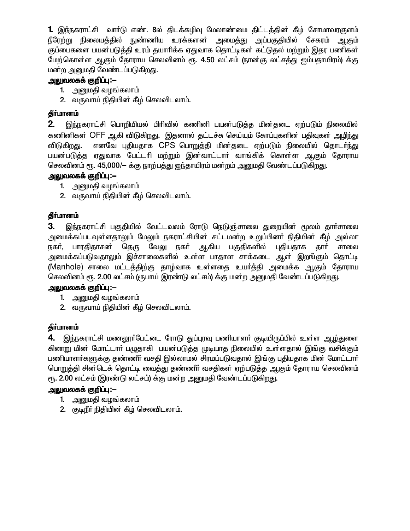1. இந்நகராட்சி வார்டு எண். 8ல் திடக்கழிவு மேலாண்மை திட்டத்தின் கீழ் சோமாவரகுளம் நீரேற்று நிலையத்தில் நுண்ணிய உரக்களன் அமைத்து அப்பகுதியில் சேகரம் ஆகும் குப்பைகளை பயன்படுத்தி உரம் தயாரிக்க ஏதுவாக தொட்டிகள் கட்டுதல் மற்றும் இதர பணிகள் மேற்கொள்ள ஆகும் தோராய செலவினம் ரூ. 4.50 லட்சம் (நான்கு லட்சக்து ஐம்பதாயிரம்) க்கு மன்ற அனுமதி வேண்டப்படுகிறது.

### அலுவலகக் குறிப்பு:—

- 1. அனுமதி வழங்கலாம்
- 2. வருவாய் நிதியின் கீழ் செலவிடலாம்.

### தீா்மானம்

2. இந்நகராட்சி பொறியியல் பிரிவில் கணினி பயன்படுத்த மின்தடை ஏற்படும் நிலையில் கணினிகள் OFF ஆகி விடுகிறது. இதனால் தட்டச்சு செய்யும் கோப்புகளின் பதிவுகள் <u>அழிந்து</u> எனவே புதியதாக CPS பொறுத்தி மின்தடை ஏற்படும் நிலையில் தொடர்ந்து விடுகிறது. பயன்படுத்த ஏதுவாக பேட்டரி மற்றும் இன்வாட்டார் வாங்கிக் கொள்ள ஆகும் தோராய செலவினம் ரூ. 45,000/— க்கு நாற்பத்து ஐந்தாயிரம் மன்றம் அனுமதி வேண்டப்படுகிறது.

### அலுவலகக் குறிப்பு:—

- 1. அனுமதி வழங்கலாம்
- 2. வருவாய் நிதியின் கீழ் செலவிடலாம்.

### தீர்மானம்

3. இந்நகராட்சி பகுதியில் வேட்டவலம் ரோடு நெடுஞ்சாலை துறையின் மூலம் தாா்சாலை அமைக்கப்படவுள்ளதாலும் மேலும் நகராட்சியின் சட்டமன்ற உறுப்பினர் நிதியின் கீம் அல்லா நகா், பாரதிதாசன் தெரு வேலு நகா் ஆகிய பகுதிகளில் புதியதாக தாா் சாலை அமைக்கப்படுவதாலும் இச்சாலைகளில் உள்ள பாதாள சாக்கடை ஆள் இறங்கும் தொட்டி (Manhole) சாலை மட்டத்திற்கு தாழ்வாக உள்ளதை உயர்த்தி அமைக்க ஆகும் தோராய செலவினம் ரூ. 2.00 லட்சம் (ரூபாய் இரண்டு லட்சம்) க்கு மன்ற அனுமதி வேண்டப்படுகிறது.

### அலுவலகக் குறிப்பு:--

- 1. அனுமதி வழங்கலாம்
- 2. வருவாய் நிதியின் கீழ் செலவிடலாம்.

### தீர்மானம்

4. இந்நகராட்சி மணலூர்பேட்டை ரோடு துப்புரவு பணியாளர் குடியிருப்பில் உள்ள ஆழ்துளை கிணறு மின் மோட்டார் புமுதாகி பயன்படுக்க முடியாத நிலையில் உள்ளதால் இங்கு வசிக்கும் பணியாளர்களுக்கு தண்ணீர் வசதி இல்லாமல் சிரமப்படுவதால் இங்கு புதியதாக மின் மோட்டார் பொறுத்தி சின்டெக் தொட்டி வைத்து தண்ணீர் வசதிகள் ஏற்படுத்த ஆகும் தோராய செலவினம் ரு. 2.00 லட்சம் (இரண்டு லட்சம்) க்கு மன்ற அனுமதி வேண்டப்படுகிறது.

### அலுவலகக் குறிப்ப:-

- 1. அறுமதி வமங்கலாம்
- 2. குடிநீர் நிதியின் கீழ் செலவிடலாம்.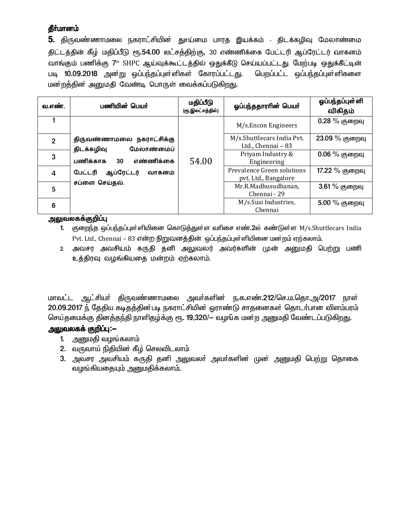5. திருவண்ணாமலை நகராட்சியின் துாய்மை பாரத இயக்கம் - திடக்கழிவு மேலாண்மை திட்டத்தின் கீழ் மதிப்பீடு ரூ.54.00 லட்சத்திற்கு, 30 எண்ணிக்கை பேட்டரி ஆப்ரேட்டர் வாகனம் வாங்கும் பணிக்கு 7th SHPC ஆய்வுக்கூட்டத்தில் ஒதுக்கீடு செய்யப்பட்டது. மேற்படி ஒதுக்கீட்டின் படி 10.09.2018 அன்று ஒப்பந்தப்புள்ளிகள் கோரப்பட்டது. பெறப்பட்ட ஒப்பந்தப்புள்ளிகளை மன்றத்தின் அனுமதி வேண்டி பொருள் வைக்கப்படுகிறது.

| வ.எண்.         | பணியின் பெயர்                                         | மதிப்பீடு<br>(ரூ.இலட்சத்தில்) | ஓப்பந்ததாரரின் பெயர்                               | ஓப்பந்தப்புள்ளி<br>விகிதம் |
|----------------|-------------------------------------------------------|-------------------------------|----------------------------------------------------|----------------------------|
|                |                                                       |                               | M/s.Encon Engineers                                | 0.28 % குறைவு              |
| $\overline{2}$ | திருவண்ணாமலை நகராட்சிக்கு<br>மேலாண்மைப்<br>திடக்கழிவு |                               | M/s.Shuttlecars India Pvt.<br>Ltd., Chennai - 83   | 23.09 % குறைவு             |
| 3              | பணிக்காக<br>எண்ணிக்கை<br>30                           | 54.00                         | Priyam Industry &<br>Engineering                   | $0.06\%$ குறைவு            |
| 4              | ஆப்ரேட்டர்<br>பேட்டரி<br>வாகனம்                       |                               | Prevalence Green solutions<br>pyt. Ltd., Bangalore | 17.22 % குறைவு             |
| 5              | சப்ளை செய்தல்.                                        |                               | Mr.R.Madhusudhanan,<br>Chennai - 29                | 3.61% குறைவு               |
| 6              |                                                       |                               | M/s.Susi Industries,<br>Chennai                    | 5.00 % குறைவு              |

#### அலுவலகக்குறிப்பு

- 1. குறைந்த ஒப்பந்தப்புள்ளியினை கொடுத்துள்ள வரிசை எண்.2ல் கண்டுள்ள M/s.Shuttlecars India Pvt. Ltd., Chennai – 83 என்ற நிறுவனத்தின் ஒப்பந்தப்புள்ளியினை மன்றம் ஏற்கலாம்.
- 2. அவசர அவசியம் கருதி தனி அலுவலர் அவர்களின் முன் அனுமதி பெற்று பணி உத்திரவு வழங்கியதை மன்றம் ஏற்கலாம்.

மாவட்ட ஆட்சியா் திருவண்ணாமலை அவா்களின் ந.க.எண்.212/செ.ம.தொ.அ/2017 நாள் 20.09.2017 ந் தேதிய கடிதத்தின்படி நகராட்சியின் ஒராண்டு சாதனைகள் தொடர்பான விளம்பரம் செய்தமைக்கு தினத்தந்தி நாளிதழ்க்கு ரூ. 19,320/— வழங்க மன்ற அனுமதி வேண்டப்படுகிறது.

### அலுவலகக் குறிப்ப:—

- 1. அனுமதி வழங்கலாம்
- 2. வருவாய் நிதியின் கீழ் செலவிடலாம்
- 3. அவசர அவசியம் கருதி தனி அலுவலா் அவா்களின் முன் அனுமதி பெற்று தொகை வழங்கியதையும் அனுமதிக்கலாம்.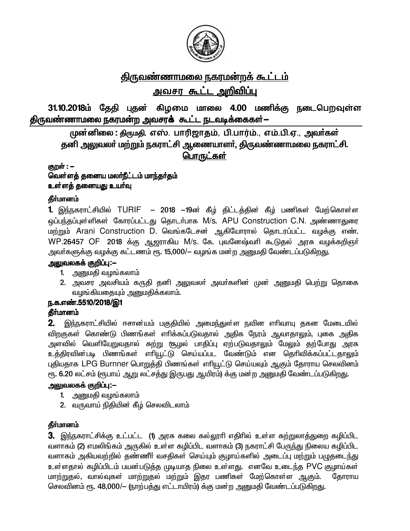

# <u>திருவண்ணாமலை நகரமன்றக் கூட்டம்</u>

#### <u>அவசர கூட்ட அறிவிப்பு</u> Ï

31.10.2018ம் தேதி புதன் கிழமை மாலை 4.00 மணிக்கு நடைபெறவுள்ள திருவண்ணாமலை நகரமன்ற அவசர**க்** கூட்ட நடவடிக்கைகள்—

முன்னிலை : திருமதி, எஸ். பாரிஜாதம், பி.பார்ம்., எம்.பி.ஏ., அவர்கள் தனி அலுவலா் மற்றும் நகராட்சி ஆணையாளா், திருவண்ணாமலை நகராட்சி. பொருட்கள்

குறள் : -வெள்ளத் தனைய மலா்நீட்டம் மாந்தா்தம் உள்ளத் தனையது *உ*யா்வு

### தீர்மானம்

1. இந்நகராட்சியில் TURIF – 2018 −19ன் கீழ் திட்டத்தின் கீழ் பணிகள் மேற்கொள்ள ஒப்பந்தப்புள்ளிகள் கோரப்பட்டது தொடா்பாக M/s. APU Construction C.N. அண்ணாதுரை மற்றும் Arani Construction D. வெங்கடேசன் ஆகியோரால் தொடரப்பட்ட வழக்கு எண்.  $WP.26457$  OF  $2018$  க்கு ஆஜராகிய M/s. கே. புவனேஷ்வரி கூடுகுல் அரசு வழக்கறிஞர் அவா்களுக்கு வழக்கு கட்டணம் ரூ. 15,000/- வழங்க மன்ற அனுமதி வேண்டப்படுகிறது.

### <u>அலுவலகக் குறிப்பு:--</u>

- 1. அனுமதி வழங்கலாம்
- 2. அவசர அவசியம் கருதி தனி அலுவலா் அவா்களின் முன் அனுமதி பெற்று தொகை வழங்கியதையும் அனுமதிக்கலாம்.

### ந.க.எண்.5510/2018/இ1

### தீர்மானம்

2. இந்நகராட்சியில் ஈசான்யம் பகுதியில் அமைந்துள்ள நவின எரிவாயு தகன மேடையில் விறகுகள் கொண்டு பிணங்கள் எாிக்கப்படுவதால் அதிக நேரம் ஆவாதாலும், புகை அதிக அளவில் வெளியேறுவதால் சுற்று சூழல் பாதிப்பு ஏற்படுவதாலும் மேலும் தற்போது அரசு உத்திரவின்படி பிணங்கள் எரியூட்டு செய்யப்பட வேண்டும் என தெரிவிக்கப்பட்டதாலும் புதியதாக LPG Burnner பொறுத்தி பிணங்கள் எரியூட்டு செய்யவும் ஆகும் தோராய செலவினம் ரூ. 6.20 லட்சம் (ரூபாய் ஆறு லட்சத்து இருபது ஆயிரம்) க்கு மன்ற அனுமதி வேண்டப்படுகிறது.

### அலுவலகக் குறிப்பு:--

- 1. அனுமதி வழங்கலாம்
- 2. வருவாய் நிதியின் கீழ் செலவிடலாம்

### **தீர்மானம்**

3. இந்நகராட்சிக்கு உட்பட்ட (1) அரசு கலை கல்லூரி எதிரில் உள்ள சுற்றுலாத்துறை கழிப்பிட வளாகம் (2) எமலிங்கம் அருகில் உள்ள கழிப்பிட வளாகம் (3) நகராட்சி பேருந்து நிலைய கழிப்பிட வளாகம் அகியவற்றில் தண்ணீர் வசதிகள் செய்யும் குழாய்களில் அடைப்பு மற்றும் பழுதடை<u>ந்து</u> உள்ளதால் கழிப்பிடம் பயன்படுத்த முடியாத நிலை உள்ளது. எனவே உடைந்த PVC குழாய்கள் <u>மாற்றுத</u>ல், வால்வுகள் மாற்றுதல் மற்றும் இதர பணிகள் மேற்கொள்ள ஆகும். தோராய செலவினம் ரூ. 48,000/- (நாற்பத்து எட்டாயிரம்) க்கு மன்ற அனுமதி வேண்டப்படுகிறது.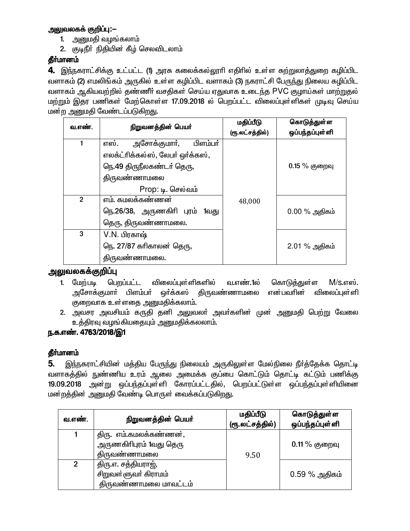### அலுவலகக் குறிப்பு:—

- 1. அனுமதி வழங்கலாம்
- 2. குடிநீர் நிதியின் கீழ் செலவிடலாம்

### தீர்மானம்

4. இந்நகராட்சிக்கு உட்பட்ட (1) அரசு கலைக்கல்லூரி எதிரில் உள்ள சுற்றுலாத்துறை கழிப்பிட வளாகம் (2) எமலிங்கம் அருகில் உள்ள கழிப்பிட வளாகம் (3) நகராட்சி பேருந்து நிலைய கழிப்பிட வளாகம் ஆகியவற்றில் தண்ணீர் வசதிகள் செய்ய ஏதுவாக உடைந்த PVC குழாய்கள் மாற்றுதல் மற்றும் இதர பணிகள் மேற்கொள்ள 17.09.2018 ல் பெறப்பட்ட விலைப்புள்ளிகள் முடிவு செய்ய மன்ற அனுமதி வேண்டப்படுகிறது.

| வ.எண்.         | நிறுவனத்தின் பெயர்               | மதிப்பீடு       | கொடுத்துள்ள     |
|----------------|----------------------------------|-----------------|-----------------|
|                |                                  | (ரூ.லட்சத்தில்) | ஒப்பந்தப்புள்ளி |
| 1              | எஸ்.<br>அசோக்குமாா்,<br>பிளம்பர் |                 |                 |
|                | எலக்ட்ரிக்கல்ஸ், லேபர் ஒர்க்கஸ், |                 |                 |
|                | நெ.49 திருநீலகண்டா் தெரு,        |                 | $0.15\%$ குறைவு |
|                | திருவண்ணாமலை                     |                 |                 |
|                | Prop: டி. செல்வம்                |                 |                 |
| $\overline{2}$ | எம். கமலக்கண்ணன்                 | 48,000          |                 |
|                | நெ.26/38, அருணகிரி புரம் 1வது    |                 | $0.00\%$ அதிகம் |
|                | தெரு, திருவண்ணாமலை.              |                 |                 |
| 3              | V.N. பிரகாஷ்                     |                 |                 |
|                | நெ. 27/87 கரிகாலன் தெரு,         |                 | $2.01\%$ அதிகம் |
|                | திருவண்ணாமலை.                    |                 |                 |

### அலுவலகக்குறிப்பு

- 1. மேற்படி பெறப்பட்ட விலைப்புள்ளிகளில் வ.எண்.1ல் கொடுக்துள்ள  $M/s$ .எஸ். அசோக்குமாா் பிளம்பா் <u>ஒ</u>ர்க்கஸ் திருவண்ணாமலை என்பவரின் விலைப்புள்ளி குறைவாக உள்ளதை அனுமதிக்கலாம்.
- 2. அவசர அவசியம் கருதி தனி அலுவலர் அவர்களின் முன் அனுமதி பெற்று வேலை உத்திரவு வழங்கியதையும் அனுமதிக்கலலாம்.

### ந.க.எண். 4763/2018/இ1

### தீா்மானம்

இந்நகராட்சியின் மத்திய பேருந்து நிலையம் அருகிலுள்ள மேல்நிலை நீா்த்தேக்க தொட்டி 5. வளாகத்தில் நுண்ணிய உரம் ஆலை அமைக்க குப்பை கொட்டும் தொட்டி கட்டும் பணிக்கு 19.09.2018 அன்று ஒப்பந்தப்புள்ளி கோரப்பட்டதில், பெறப்பட்டுள்ள ஒப்பந்தப்புள்ளியினை மன்றத்தின் அனுமதி வேண்டி பொருள் வைக்கப்படுகிறது.

| வ.எண்.       | நிறுவனத்தின் பெயர்                                                   | மதிப்பீடு<br>(ரூ.லட்சத்தில்) | கொடுத்துள்ள<br>ஒப்பந்தப்புள்ளி |
|--------------|----------------------------------------------------------------------|------------------------------|--------------------------------|
|              | திரு. எம்.கமலக்கண்ணன்,<br>அருணகிரிபுரம் 1வது தெரு<br>திருவண்ணாமலை    | 9.50                         | $0.11\%$ குறைவு                |
| $\mathbf{2}$ | திரு.எ. சத்தியராஜ்,<br>சிறுவள்ளுவா் கிராமம்<br>திருவண்ணாமலை மாவட்டம் |                              | $0.59\%$ அதிகம்                |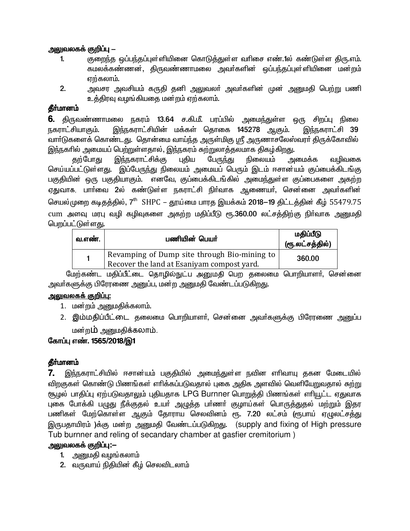### அலுவலகக் குறிப்பு —

- குறைந்த ஒப்பந்தப்புள்ளியினை கொடுத்துள்ள வரிசை எண்.1ல் கண்டுள்ள திரு.எம்.  $\mathbf{1}$ கமலக்கண்ணன், திருவண்ணாமலை அவர்களின் ஒப்பந்தப்புள்ளியினை மன்றம் எற்கலாம்.
- $2.$ அவசர அவசியம் கருதி தனி அலுவலா் அவா்களின் முன் அனுமதி பெற்று பணி உத்திரவு வழங்கியதை மன்றம் ஏற்கலாம்.

### **கீர்மானம்**

**6.** திருவண்ணாமலை நகரம் 13.64 ச.கி.மீ. பரப்பில் அமைந்துள்ள ஒரு சிறப்பு நிலை இந்நகராட்சியின் மக்கள் தொகை 145278 ஆகும். <u> நகராட்சியாகும்.</u> இந்நகராட்சி 39 வாா்டுகளைக் கொண்டது. தொன்மை வாய்ந்த அருள்மிகு ஸ்ரீ அருணாசலேஸ்வரா் திருக்கோவில் <u>இந்ந</u>கரில் அமையப் பெற்றுள்ளதால், இந்நகரம் சுற்றுலாத்தலமாக திகழ்கிறது.

இந்நகராட்சிக்கு புகிய பேருந்து நிலையம் கற்போது அமைக்க வமிவகை செய்யப்பட்டுள்ளது. இப்பேருந்து நிலையம் அமையப் பெரும் இடம் ஈசான்யம் குப்பைக்கிடங்கு பகுதியின் ஒரு பகுதியாகும். எனவே, குப்பைக்கிடங்கில் அமைந்துள்ள குப்பைகளை அகற்ற ஏதுவாக, பாா்வை 2ல் கண்டுள்ள நகராட்சி நிா்வாக ஆணையா், சென்னை அவா்களின் செயல்முறை கடிதத்தில், 7<sup>th</sup> SHPC – தூய்மை பாரத இயக்கம் 2018–19 திட்டத்தின் கீழ் 55479.75 cum அளவு மரபு வழி கழிவுகளை அகற்ற மதிப்பீடு ரூ.360.00 லட்சத்திற்கு நிர்வாக அனுமதி பெறப்பட்டுள்ளது.

| வ.எண். | பணியின் பெயர்                                                                              | மதிப்பீடு<br>(ரூ.லட்சத்தில்) |
|--------|--------------------------------------------------------------------------------------------|------------------------------|
|        | Revamping of Dump site through Bio-mining to<br>Recover the land at Esaniyam compost yard. | 360.00                       |

மேற்கண்ட மதிப்பீட்டை தொழில்நுட்ப அனுமதி பெற தலைமை பொறியாளா், சென்னை அவா்களுக்கு பிரேரணை அனுப்ப, மன்ற அனுமதி வேண்டப்படுகிறது.

### <u>அலுவலகக் குறிப்பு:</u>

- 1. மன்றம் அனுமதிக்கலாம்.
- 2. இம்மதிப்பீட்டை தலைமை பொறியாளர், சென்னை அவர்களுக்கு பிரேரணை அனுப்ப மன்ற**ம்** அனுமதிக்கலாம்.

### கோப்பு எண். 1565/2018/இ1

### கீர்மானம்

இந்நகராட்சியில் ஈசான்யம் பகுதியில் அமைந்துள்ள நவின எரிவாயு தகன மேடையில் 7. விறகுகள் கொண்டு பிணங்கள் எரிக்கப்படுவதால் புகை அதிக அளவில் வெளியேறுவதால் சுற்று சூழல் பாதிப்பு ஏற்படுவதாலும் புதியதாக LPG Burnner பொறுத்தி பிணங்கள் எரியூட்ட ஏதுவாக புகை போக்கி பழுது நீக்குதல் உயா் அழுத்த பா்ணா் குழாய்கள் பொருத்துதல் மற்றும் இதர பணிகள் மேற்கொள்ள ஆகும் தோராய செலவினம் ரூ. 7.20 லட்சம் (ரூபாய் ஏழுலட்சத்து இருபதாயிரம்) க்கு மன்ற அனுமதி வேண்டப்படுகிறது. (supply and fixing of High pressure Tub burnner and reling of secandary chamber at gasfier cremitorium)

### அலுவலகக் குறிப்பு:—

- 1. அனுமதி வழங்கலாம்
- 2. வருவாய் நிதியின் கீழ் செலவிடலாம்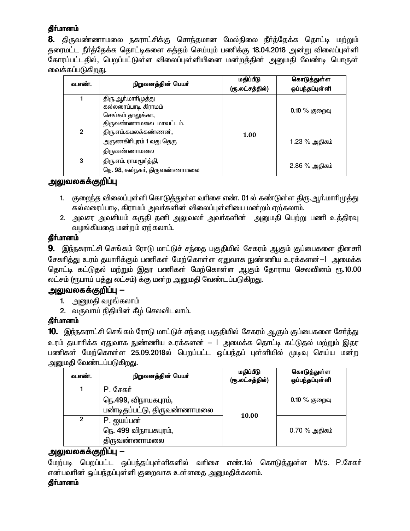**8.** திருவண்ணாமலை நகராட்சிக்கு சொந்தமான மேல்நிலை நீா்த்தேக்க தொட்டி மற்றும் தரைமட்ட நீர்த்தேக்க தொட்டிகளை சுத்தம் செய்யும் பணிக்கு 18.04.2018 அன்று விலைப்புள்ளி கோரப்பட்டதில், பெறப்பட்டுள்ள விலைப்புள்ளியினை மன்றத்தின் அனுமதி வேண்டி பொருள் வைக்கப்படுகிறது.

| வ.எண். | நிறுவனத்தின் பெயர்                                                                         | மதிப்பீடு<br>(ரூ.லட்சத்தில்) | கொடுத்துள்ள<br>ஒப்பந்தப்புள்ளி |
|--------|--------------------------------------------------------------------------------------------|------------------------------|--------------------------------|
|        | திரு.ஆா்.மாாிமுத்து<br>கல்லரைப்பாடி கிராமம்<br>செங்கம் தாலுக்கா,<br>திருவண்ணாமலை மாவட்டம். |                              | $0.10\%$ குறைவு                |
| 2      | திரு.எம்.கமலக்கண்ணன்,<br>அருணகிரிபுரம் 1 வது தெரு<br>திருவண்ணாமலை                          | 1.00                         | 1.23 % அதிகம்                  |
| 3      | திரு.எம். ராமமூர்த்தி,<br>நெ. 98, கல்நகர், திருவண்ணாமலை                                    |                              | 2.86 % அதிகம்                  |

### அலுவலகக்குறிப்பு

- 1. குறைந்த விலைப்புள்ளி கொடுத்துள்ள வரிசை எண். 01 ல் கண்டுள்ள திரு.ஆர்.மாரிமுத்து கல்லரைப்பாடி, கிராமம் அவர்களின் விலைப்புள்ளியை மன்றம் ஏற்கலாம்.
- 2. அவசர அவசியம் கருதி தனி அலுவலா் அவா்களின் அனுமதி பெற்று பணி உத்திரவு வழங்கியதை மன்றம் ஏற்கலாம்.

### **தீர்மானம்**

**9.** இந்நகராட்சி செங்கம் ரோடு மாட்டுச் சந்தை பகுதியில் சேகரம் ஆகும் குப்பைகளை தினசரி சேகரித்து உரம் தயாரிக்கும் பணிகள் மேற்கொள்ள ஏதுவாக நுண்ணிய உரக்களன்—| அமைக்க தொட்டி கட்டுதல் மற்றும் இதர பணிகள் மேற்கொள்ள ஆகும் தோராய செலவினம் ரூ.10.00 லட்சம் (ரூபாய் பத்து லட்சம்) க்கு மன்ற அனுமதி வேண்டப்படுகிறது.

# அலுவலகக்குறிப்பு —

- 1. அனுமதி வழங்கலாம்
- 2. வருவாய் நிதியின் கீழ் செலவிடலாம்.

### தீர்மானம்

10. இந்நகராட்சி செங்கம் ரோடு மாட்டுச் சந்தை பகுதியில் சேகரம் ஆகும் குப்பைகளை சேர்த்து உரம் தயாாிக்க ஏதுவாக நுண்ணிய உரக்களன் — l அமைக்க தொட்டி கட்டுதல் மற்றும் இதர பணிகள் மேற்கொள்ள 25.09.2018ல் பெறப்பட்ட ஒப்பந்தப் புள்ளியில் முடிவு செய்ய மன்ற அனுமதி வேண்டப்படுகிறது.

| வ.எண். | நிறுவனத்தின் பெயர்                                              | மதிப்பீடு<br>(ரூ.லட்சத்தில்) | கொடுத்துள்ள<br>ஒப்பந்தப்புள்ளி |
|--------|-----------------------------------------------------------------|------------------------------|--------------------------------|
|        | P. சேகர்<br>நெ.499, விநாயகபுரம்,<br>பண்டிதப்பட்டு, திருவண்ணாமலை | 10.00                        | $0.10\%$ குறைவு                |
| 2      | P. ஐயப்பன்<br>நெ. 499 விநாயகபுரம்,<br>திருவண்ணாமலை              |                              | $0.70\%$ அதிகம்                |

### அலுவலகக்குறிப்பு —

மேற்படி பெறப்பட்ட ஒப்பந்தப்புள்ளிகளில் வரிசை எண்.1ல் கொடுத்துள்ள M/s. P.சேகர் என்பவரின் ஒப்பந்தப்புள்ளி குறைவாக உள்ளதை அனுமதிக்கலாம்.

### தீர்மானம்